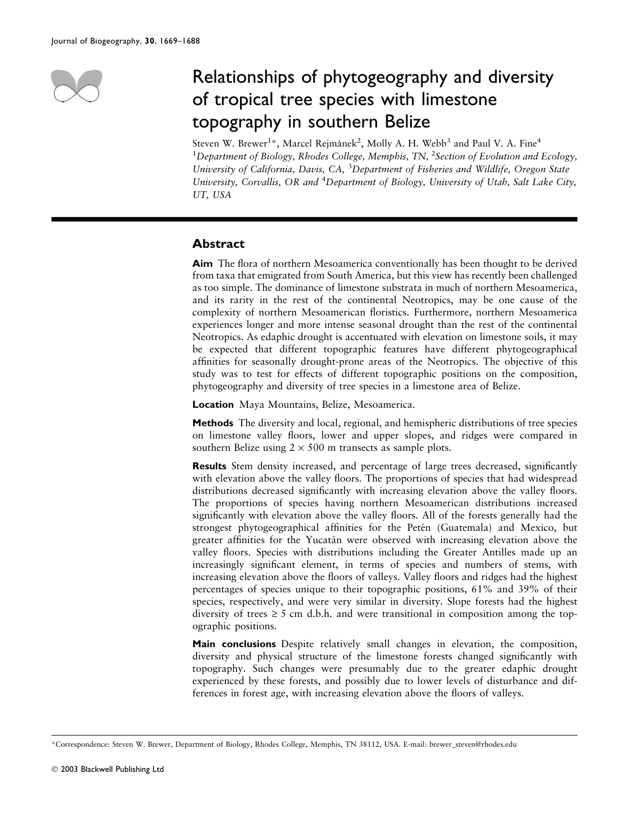

# Relationships of phytogeography and diversity of tropical tree species with limestone topography in southern Belize

Steven W. Brewer<sup>1</sup>\*, Marcel Rejmánek<sup>2</sup>, Molly A. H. Webb<sup>3</sup> and Paul V. A. Fine<sup>4</sup> <sup>1</sup>Department of Biology, Rhodes College, Memphis, TN, <sup>2</sup>Section of Evolution and Ecology, University of California, Davis, CA, <sup>3</sup>Department of Fisheries and Wildlife, Oregon State University, Corvallis, OR and <sup>4</sup>Department of Biology, University of Utah, Salt Lake City, UT, USA

# Abstract

Aim The flora of northern Mesoamerica conventionally has been thought to be derived from taxa that emigrated from South America, but this view has recently been challenged as too simple. The dominance of limestone substrata in much of northern Mesoamerica, and its rarity in the rest of the continental Neotropics, may be one cause of the complexity of northern Mesoamerican floristics. Furthermore, northern Mesoamerica experiences longer and more intense seasonal drought than the rest of the continental Neotropics. As edaphic drought is accentuated with elevation on limestone soils, it may be expected that different topographic features have different phytogeographical affinities for seasonally drought-prone areas of the Neotropics. The objective of this study was to test for effects of different topographic positions on the composition, phytogeography and diversity of tree species in a limestone area of Belize.

Location Maya Mountains, Belize, Mesoamerica.

Methods The diversity and local, regional, and hemispheric distributions of tree species on limestone valley floors, lower and upper slopes, and ridges were compared in southern Belize using  $2 \times 500$  m transects as sample plots.

Results Stem density increased, and percentage of large trees decreased, significantly with elevation above the valley floors. The proportions of species that had widespread distributions decreased significantly with increasing elevation above the valley floors. The proportions of species having northern Mesoamerican distributions increased significantly with elevation above the valley floors. All of the forests generally had the strongest phytogeographical affinities for the Petén (Guatemala) and Mexico, but greater affinities for the Yucatán were observed with increasing elevation above the valley floors. Species with distributions including the Greater Antilles made up an increasingly significant element, in terms of species and numbers of stems, with increasing elevation above the floors of valleys. Valley floors and ridges had the highest percentages of species unique to their topographic positions, 61% and 39% of their species, respectively, and were very similar in diversity. Slope forests had the highest diversity of trees  $\geq 5$  cm d.b.h. and were transitional in composition among the topographic positions.

Main conclusions Despite relatively small changes in elevation, the composition, diversity and physical structure of the limestone forests changed significantly with topography. Such changes were presumably due to the greater edaphic drought experienced by these forests, and possibly due to lower levels of disturbance and differences in forest age, with increasing elevation above the floors of valleys.

<sup>\*</sup>Correspondence: Steven W. Brewer, Department of Biology, Rhodes College, Memphis, TN 38112, USA. E-mail: brewer\_steven@rhodes.edu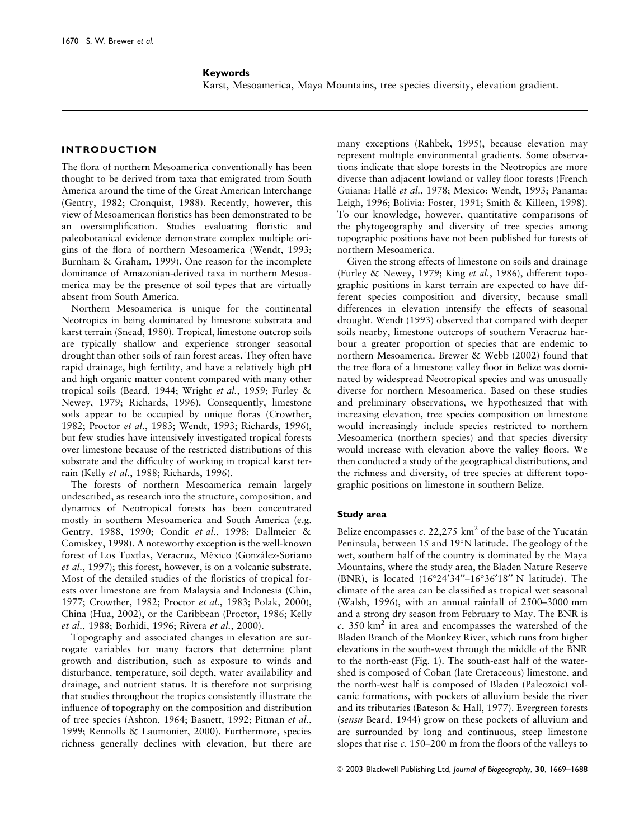# INTRODUCTION

The flora of northern Mesoamerica conventionally has been thought to be derived from taxa that emigrated from South America around the time of the Great American Interchange (Gentry, 1982; Cronquist, 1988). Recently, however, this view of Mesoamerican floristics has been demonstrated to be an oversimplification. Studies evaluating floristic and paleobotanical evidence demonstrate complex multiple origins of the flora of northern Mesoamerica (Wendt, 1993; Burnham & Graham, 1999). One reason for the incomplete dominance of Amazonian-derived taxa in northern Mesoamerica may be the presence of soil types that are virtually absent from South America.

Northern Mesoamerica is unique for the continental Neotropics in being dominated by limestone substrata and karst terrain (Snead, 1980). Tropical, limestone outcrop soils are typically shallow and experience stronger seasonal drought than other soils of rain forest areas. They often have rapid drainage, high fertility, and have a relatively high pH and high organic matter content compared with many other tropical soils (Beard, 1944; Wright et al., 1959; Furley & Newey, 1979; Richards, 1996). Consequently, limestone soils appear to be occupied by unique floras (Crowther, 1982; Proctor et al., 1983; Wendt, 1993; Richards, 1996), but few studies have intensively investigated tropical forests over limestone because of the restricted distributions of this substrate and the difficulty of working in tropical karst terrain (Kelly et al., 1988; Richards, 1996).

The forests of northern Mesoamerica remain largely undescribed, as research into the structure, composition, and dynamics of Neotropical forests has been concentrated mostly in southern Mesoamerica and South America (e.g. Gentry, 1988, 1990; Condit et al., 1998; Dallmeier & Comiskey, 1998). A noteworthy exception is the well-known forest of Los Tuxtlas, Veracruz, México (González-Soriano et al., 1997); this forest, however, is on a volcanic substrate. Most of the detailed studies of the floristics of tropical forests over limestone are from Malaysia and Indonesia (Chin, 1977; Crowther, 1982; Proctor et al., 1983; Polak, 2000), China (Hua, 2002), or the Caribbean (Proctor, 1986; Kelly et al., 1988; Borhidi, 1996; Rivera et al., 2000).

Topography and associated changes in elevation are surrogate variables for many factors that determine plant growth and distribution, such as exposure to winds and disturbance, temperature, soil depth, water availability and drainage, and nutrient status. It is therefore not surprising that studies throughout the tropics consistently illustrate the influence of topography on the composition and distribution of tree species (Ashton, 1964; Basnett, 1992; Pitman et al., 1999; Rennolls & Laumonier, 2000). Furthermore, species richness generally declines with elevation, but there are

many exceptions (Rahbek, 1995), because elevation may represent multiple environmental gradients. Some observations indicate that slope forests in the Neotropics are more diverse than adjacent lowland or valley floor forests (French Guiana: Hallé et al., 1978; Mexico: Wendt, 1993; Panama: Leigh, 1996; Bolivia: Foster, 1991; Smith & Killeen, 1998). To our knowledge, however, quantitative comparisons of the phytogeography and diversity of tree species among topographic positions have not been published for forests of northern Mesoamerica.

Given the strong effects of limestone on soils and drainage (Furley & Newey, 1979; King et al., 1986), different topographic positions in karst terrain are expected to have different species composition and diversity, because small differences in elevation intensify the effects of seasonal drought. Wendt (1993) observed that compared with deeper soils nearby, limestone outcrops of southern Veracruz harbour a greater proportion of species that are endemic to northern Mesoamerica. Brewer & Webb (2002) found that the tree flora of a limestone valley floor in Belize was dominated by widespread Neotropical species and was unusually diverse for northern Mesoamerica. Based on these studies and preliminary observations, we hypothesized that with increasing elevation, tree species composition on limestone would increasingly include species restricted to northern Mesoamerica (northern species) and that species diversity would increase with elevation above the valley floors. We then conducted a study of the geographical distributions, and the richness and diversity, of tree species at different topographic positions on limestone in southern Belize.

#### Study area

Belize encompasses  $c$ . 22,275 km<sup>2</sup> of the base of the Yucatán Peninsula, between 15 and 19°N latitude. The geology of the wet, southern half of the country is dominated by the Maya Mountains, where the study area, the Bladen Nature Reserve (BNR), is located  $(16^{\circ}24'34'' - 16^{\circ}36'18''$  N latitude). The climate of the area can be classified as tropical wet seasonal (Walsh, 1996), with an annual rainfall of 2500–3000 mm and a strong dry season from February to May. The BNR is c. 350 km<sup>2</sup> in area and encompasses the watershed of the Bladen Branch of the Monkey River, which runs from higher elevations in the south-west through the middle of the BNR to the north-east (Fig. 1). The south-east half of the watershed is composed of Coban (late Cretaceous) limestone, and the north-west half is composed of Bladen (Paleozoic) volcanic formations, with pockets of alluvium beside the river and its tributaries (Bateson & Hall, 1977). Evergreen forests (sensu Beard, 1944) grow on these pockets of alluvium and are surrounded by long and continuous, steep limestone slopes that rise  $c$ . 150–200 m from the floors of the valleys to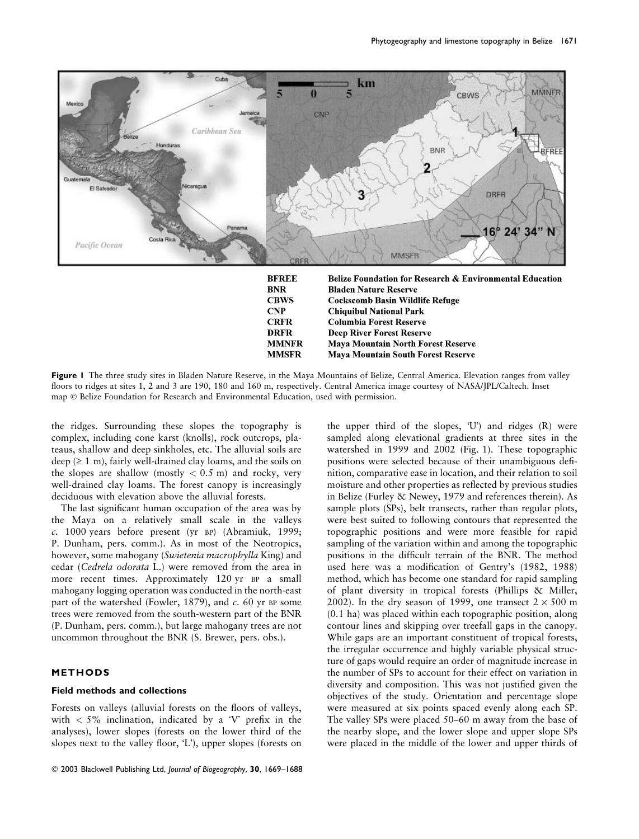

**Chiquibul National Park Columbia Forest Reserve Deep River Forest Reserve MMNFR Maya Mountain North Forest Reserve MMSFR Maya Mountain South Forest Reserve** 

Figure 1 The three study sites in Bladen Nature Reserve, in the Maya Mountains of Belize, Central America. Elevation ranges from valley floors to ridges at sites 1, 2 and 3 are 190, 180 and 160 m, respectively. Central America image courtesy of NASA/JPL/Caltech. Inset map © Belize Foundation for Research and Environmental Education, used with permission.

**CRFR** 

**DRFR** 

the ridges. Surrounding these slopes the topography is complex, including cone karst (knolls), rock outcrops, plateaus, shallow and deep sinkholes, etc. The alluvial soils are deep  $(≥ 1 m)$ , fairly well-drained clay loams, and the soils on the slopes are shallow (mostly  $< 0.5$  m) and rocky, very well-drained clay loams. The forest canopy is increasingly deciduous with elevation above the alluvial forests.

The last significant human occupation of the area was by the Maya on a relatively small scale in the valleys c. 1000 years before present (yr BP) (Abramiuk, 1999; P. Dunham, pers. comm.). As in most of the Neotropics, however, some mahogany (Swietenia macrophylla King) and cedar (Cedrela odorata L.) were removed from the area in more recent times. Approximately 120 yr BP a small mahogany logging operation was conducted in the north-east part of the watershed (Fowler, 1879), and  $c$ . 60 yr BP some trees were removed from the south-western part of the BNR (P. Dunham, pers. comm.), but large mahogany trees are not uncommon throughout the BNR (S. Brewer, pers. obs.).

# METHODS

#### Field methods and collections

Forests on valleys (alluvial forests on the floors of valleys, with  $<$  5% inclination, indicated by a  $V$  prefix in the analyses), lower slopes (forests on the lower third of the slopes next to the valley floor, 'L'), upper slopes (forests on

the upper third of the slopes, 'U') and ridges (R) were sampled along elevational gradients at three sites in the watershed in 1999 and 2002 (Fig. 1). These topographic positions were selected because of their unambiguous definition, comparative ease in location, and their relation to soil moisture and other properties as reflected by previous studies in Belize (Furley & Newey, 1979 and references therein). As sample plots (SPs), belt transects, rather than regular plots, were best suited to following contours that represented the topographic positions and were more feasible for rapid sampling of the variation within and among the topographic positions in the difficult terrain of the BNR. The method used here was a modification of Gentry's (1982, 1988) method, which has become one standard for rapid sampling of plant diversity in tropical forests (Phillips & Miller, 2002). In the dry season of 1999, one transect  $2 \times 500$  m (0.1 ha) was placed within each topographic position, along contour lines and skipping over treefall gaps in the canopy. While gaps are an important constituent of tropical forests, the irregular occurrence and highly variable physical structure of gaps would require an order of magnitude increase in the number of SPs to account for their effect on variation in diversity and composition. This was not justified given the objectives of the study. Orientation and percentage slope were measured at six points spaced evenly along each SP. The valley SPs were placed 50–60 m away from the base of the nearby slope, and the lower slope and upper slope SPs were placed in the middle of the lower and upper thirds of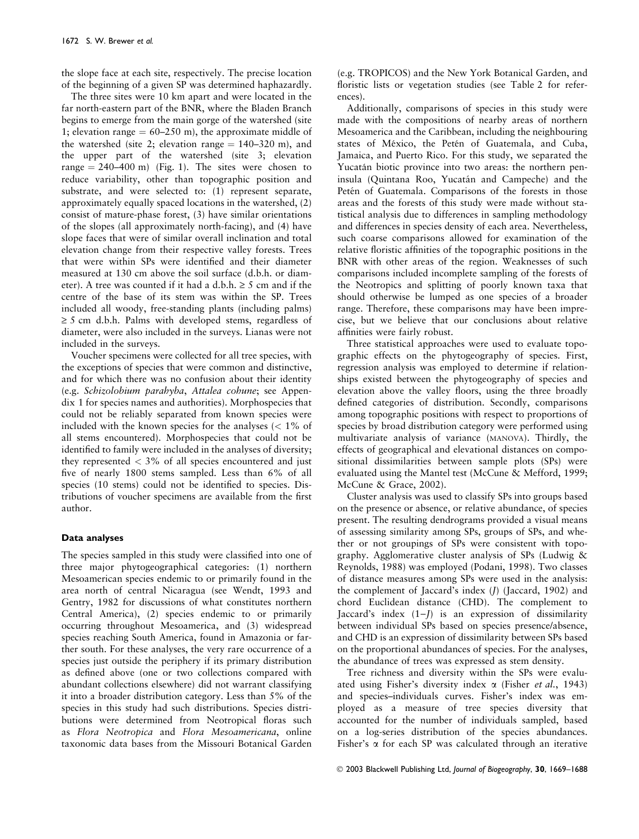the slope face at each site, respectively. The precise location of the beginning of a given SP was determined haphazardly.

The three sites were 10 km apart and were located in the far north-eastern part of the BNR, where the Bladen Branch begins to emerge from the main gorge of the watershed (site 1; elevation range  $= 60-250$  m), the approximate middle of the watershed (site 2; elevation range  $= 140 - 320$  m), and the upper part of the watershed (site 3; elevation range  $= 240-400$  m) (Fig. 1). The sites were chosen to reduce variability, other than topographic position and substrate, and were selected to: (1) represent separate, approximately equally spaced locations in the watershed, (2) consist of mature-phase forest, (3) have similar orientations of the slopes (all approximately north-facing), and (4) have slope faces that were of similar overall inclination and total elevation change from their respective valley forests. Trees that were within SPs were identified and their diameter measured at 130 cm above the soil surface (d.b.h. or diameter). A tree was counted if it had a d.b.h.  $\geq 5$  cm and if the centre of the base of its stem was within the SP. Trees included all woody, free-standing plants (including palms)  $\geq$  5 cm d.b.h. Palms with developed stems, regardless of diameter, were also included in the surveys. Lianas were not included in the surveys.

Voucher specimens were collected for all tree species, with the exceptions of species that were common and distinctive, and for which there was no confusion about their identity (e.g. Schizolobium parahyba, Attalea cohune; see Appendix 1 for species names and authorities). Morphospecies that could not be reliably separated from known species were included with the known species for the analyses  $\langle$  < 1% of all stems encountered). Morphospecies that could not be identified to family were included in the analyses of diversity; they represented  $<$  3% of all species encountered and just five of nearly 1800 stems sampled. Less than 6% of all species (10 stems) could not be identified to species. Distributions of voucher specimens are available from the first author.

### Data analyses

The species sampled in this study were classified into one of three major phytogeographical categories: (1) northern Mesoamerican species endemic to or primarily found in the area north of central Nicaragua (see Wendt, 1993 and Gentry, 1982 for discussions of what constitutes northern Central America), (2) species endemic to or primarily occurring throughout Mesoamerica, and (3) widespread species reaching South America, found in Amazonia or farther south. For these analyses, the very rare occurrence of a species just outside the periphery if its primary distribution as defined above (one or two collections compared with abundant collections elsewhere) did not warrant classifying it into a broader distribution category. Less than 5% of the species in this study had such distributions. Species distributions were determined from Neotropical floras such as Flora Neotropica and Flora Mesoamericana, online taxonomic data bases from the Missouri Botanical Garden (e.g. TROPICOS) and the New York Botanical Garden, and floristic lists or vegetation studies (see Table 2 for references).

Additionally, comparisons of species in this study were made with the compositions of nearby areas of northern Mesoamerica and the Caribbean, including the neighbouring states of México, the Petén of Guatemala, and Cuba, Jamaica, and Puerto Rico. For this study, we separated the Yucatán biotic province into two areas: the northern peninsula (Quintana Roo, Yucatán and Campeche) and the Petén of Guatemala. Comparisons of the forests in those areas and the forests of this study were made without statistical analysis due to differences in sampling methodology and differences in species density of each area. Nevertheless, such coarse comparisons allowed for examination of the relative floristic affinities of the topographic positions in the BNR with other areas of the region. Weaknesses of such comparisons included incomplete sampling of the forests of the Neotropics and splitting of poorly known taxa that should otherwise be lumped as one species of a broader range. Therefore, these comparisons may have been imprecise, but we believe that our conclusions about relative affinities were fairly robust.

Three statistical approaches were used to evaluate topographic effects on the phytogeography of species. First, regression analysis was employed to determine if relationships existed between the phytogeography of species and elevation above the valley floors, using the three broadly defined categories of distribution. Secondly, comparisons among topographic positions with respect to proportions of species by broad distribution category were performed using multivariate analysis of variance (MANOVA). Thirdly, the effects of geographical and elevational distances on compositional dissimilarities between sample plots (SPs) were evaluated using the Mantel test (McCune & Mefford, 1999; McCune & Grace, 2002).

Cluster analysis was used to classify SPs into groups based on the presence or absence, or relative abundance, of species present. The resulting dendrograms provided a visual means of assessing similarity among SPs, groups of SPs, and whether or not groupings of SPs were consistent with topography. Agglomerative cluster analysis of SPs (Ludwig & Reynolds, 1988) was employed (Podani, 1998). Two classes of distance measures among SPs were used in the analysis: the complement of Jaccard's index (J) (Jaccard, 1902) and chord Euclidean distance (CHD). The complement to Jaccard's index  $(1-J)$  is an expression of dissimilarity between individual SPs based on species presence/absence, and CHD is an expression of dissimilarity between SPs based on the proportional abundances of species. For the analyses, the abundance of trees was expressed as stem density.

Tree richness and diversity within the SPs were evaluated using Fisher's diversity index  $\alpha$  (Fisher *et al.*, 1943) and species–individuals curves. Fisher's index was employed as a measure of tree species diversity that accounted for the number of individuals sampled, based on a log-series distribution of the species abundances. Fisher's  $\alpha$  for each SP was calculated through an iterative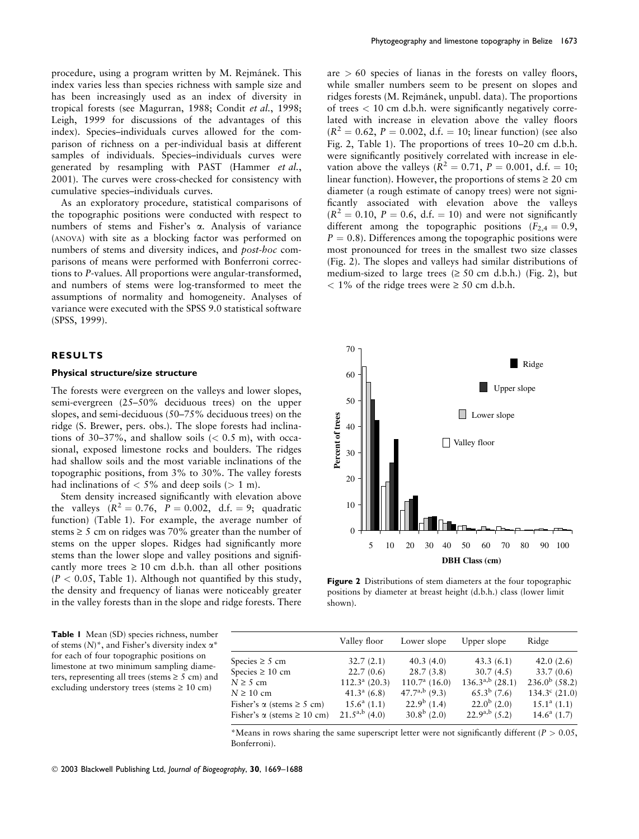procedure, using a program written by M. Rejmánek. This index varies less than species richness with sample size and has been increasingly used as an index of diversity in tropical forests (see Magurran, 1988; Condit et al., 1998; Leigh, 1999 for discussions of the advantages of this index). Species–individuals curves allowed for the comparison of richness on a per-individual basis at different samples of individuals. Species–individuals curves were generated by resampling with PAST (Hammer et al., 2001). The curves were cross-checked for consistency with cumulative species–individuals curves.

As an exploratory procedure, statistical comparisons of the topographic positions were conducted with respect to numbers of stems and Fisher's a. Analysis of variance (ANOVA) with site as a blocking factor was performed on numbers of stems and diversity indices, and post-hoc comparisons of means were performed with Bonferroni corrections to P-values. All proportions were angular-transformed, and numbers of stems were log-transformed to meet the assumptions of normality and homogeneity. Analyses of variance were executed with the SPSS 9.0 statistical software (SPSS, 1999).

# RESULTS

#### Physical structure/size structure

The forests were evergreen on the valleys and lower slopes, semi-evergreen (25–50% deciduous trees) on the upper slopes, and semi-deciduous (50–75% deciduous trees) on the ridge (S. Brewer, pers. obs.). The slope forests had inclinations of 30–37%, and shallow soils  $(< 0.5$  m), with occasional, exposed limestone rocks and boulders. The ridges had shallow soils and the most variable inclinations of the topographic positions, from 3% to 30%. The valley forests had inclinations of  $<$  5% and deep soils ( $>$  1 m).

Stem density increased significantly with elevation above the valleys  $(R^2 = 0.76, P = 0.002, d.f. = 9;$  quadratic function) (Table 1). For example, the average number of stems  $\geq 5$  cm on ridges was 70% greater than the number of stems on the upper slopes. Ridges had significantly more stems than the lower slope and valley positions and significantly more trees  $\geq 10$  cm d.b.h. than all other positions  $(P < 0.05$ , Table 1). Although not quantified by this study, the density and frequency of lianas were noticeably greater in the valley forests than in the slope and ridge forests. There

are  $> 60$  species of lianas in the forests on valley floors, while smaller numbers seem to be present on slopes and ridges forests (M. Rejmánek, unpubl. data). The proportions of trees  $< 10$  cm d.b.h. were significantly negatively correlated with increase in elevation above the valley floors  $(R^2 = 0.62, P = 0.002, d.f. = 10; linear function)$  (see also Fig. 2, Table 1). The proportions of trees 10–20 cm d.b.h. were significantly positively correlated with increase in elevation above the valleys ( $R^2 = 0.71$ ,  $P = 0.001$ , d.f. = 10; linear function). However, the proportions of stems  $\geq 20$  cm diameter (a rough estimate of canopy trees) were not significantly associated with elevation above the valleys  $(R^2 = 0.10, P = 0.6, d.f. = 10)$  and were not significantly different among the topographic positions  $(F_{2,4} = 0.9,$  $P = 0.8$ ). Differences among the topographic positions were most pronounced for trees in the smallest two size classes (Fig. 2). The slopes and valleys had similar distributions of medium-sized to large trees  $( \geq 50 \text{ cm d.b.h.})$  (Fig. 2), but  $< 1\%$  of the ridge trees were  $\geq 50$  cm d.b.h.



Figure 2 Distributions of stem diameters at the four topographic positions by diameter at breast height (d.b.h.) class (lower limit shown).

| <b>Table I</b> Mean (SD) species richness, number          |
|------------------------------------------------------------|
| of stems $(N)^*$ , and Fisher's diversity index $\alpha^*$ |
| for each of four topographic positions on                  |
| limestone at two minimum sampling diame-                   |
| ters, representing all trees (stems $\geq 5$ cm) and       |
| excluding understory trees (stems $\geq 10$ cm)            |

|                                        | Valley floor       | Lower slope        | Upper slope          | Ridge                  |
|----------------------------------------|--------------------|--------------------|----------------------|------------------------|
| Species $\geq$ 5 cm                    | 32.7(2.1)          | 40.3(4.0)          | 43.3(6.1)            | 42.0(2.6)              |
| Species $\geq 10$ cm                   | 22.7(0.6)          | 28.7(3.8)          | 30.7(4.5)            | 33.7(0.6)              |
| $N \geq 5$ cm                          | $112.3a$ (20.3)    | $110.7a$ (16.0)    | $136.3^{a,b}$ (28.1) | $236.0^b$ (58.2)       |
| $N \ge 10$ cm                          | $41.3a$ (6.8)      | $47.7^{a,b}$ (9.3) | $65.3^b$ (7.6)       | $134.3^{\circ}$ (21.0) |
| Fisher's $\alpha$ (stems $\geq$ 5 cm)  | $15.6^a$ (1.1)     | $22.9^b$ (1.4)     | $22.0^b$ (2.0)       | $15.1^a(1.1)$          |
| Fisher's $\alpha$ (stems $\geq 10$ cm) | $21.5^{a,b}$ (4.0) | $30.8b$ (2.0)      | $22.9^{a,b}$ (5.2)   | $14.6^a(1.7)$          |
|                                        |                    |                    |                      |                        |

\*Means in rows sharing the same superscript letter were not significantly different ( $P > 0.05$ , Bonferroni).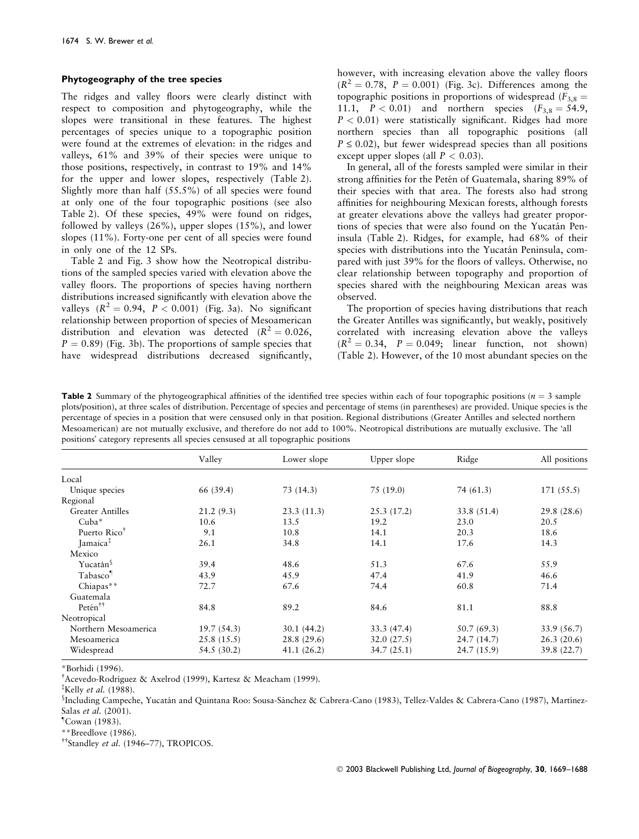#### Phytogeography of the tree species

The ridges and valley floors were clearly distinct with respect to composition and phytogeography, while the slopes were transitional in these features. The highest percentages of species unique to a topographic position were found at the extremes of elevation: in the ridges and valleys, 61% and 39% of their species were unique to those positions, respectively, in contrast to 19% and 14% for the upper and lower slopes, respectively (Table 2). Slightly more than half (55.5%) of all species were found at only one of the four topographic positions (see also Table 2). Of these species, 49% were found on ridges, followed by valleys (26%), upper slopes (15%), and lower slopes (11%). Forty-one per cent of all species were found in only one of the 12 SPs.

Table 2 and Fig. 3 show how the Neotropical distributions of the sampled species varied with elevation above the valley floors. The proportions of species having northern distributions increased significantly with elevation above the valleys  $(R^2 = 0.94, P < 0.001)$  (Fig. 3a). No significant relationship between proportion of species of Mesoamerican distribution and elevation was detected  $(R^2 = 0.026,$  $P = 0.89$  (Fig. 3b). The proportions of sample species that have widespread distributions decreased significantly,

however, with increasing elevation above the valley floors  $(R^2 = 0.78, P = 0.001)$  (Fig. 3c). Differences among the topographic positions in proportions of widespread ( $F_{3,8}$  = 11.1,  $P < 0.01$ ) and northern species  $(F_{3,8} = 54.9,$  $P < 0.01$ ) were statistically significant. Ridges had more northern species than all topographic positions (all  $P \leq 0.02$ ), but fewer widespread species than all positions except upper slopes (all  $P < 0.03$ ).

In general, all of the forests sampled were similar in their strong affinities for the Petén of Guatemala, sharing 89% of their species with that area. The forests also had strong affinities for neighbouring Mexican forests, although forests at greater elevations above the valleys had greater proportions of species that were also found on the Yucatán Peninsula (Table 2). Ridges, for example, had 68% of their species with distributions into the Yucatán Peninsula, compared with just 39% for the floors of valleys. Otherwise, no clear relationship between topography and proportion of species shared with the neighbouring Mexican areas was observed.

The proportion of species having distributions that reach the Greater Antilles was significantly, but weakly, positively correlated with increasing elevation above the valleys  $(R^2 = 0.34, P = 0.049;$  linear function, not shown) (Table 2). However, of the 10 most abundant species on the

**Table 2** Summary of the phytogeographical affinities of the identified tree species within each of four topographic positions ( $n = 3$  sample plots/position), at three scales of distribution. Percentage of species and percentage of stems (in parentheses) are provided. Unique species is the percentage of species in a position that were censused only in that position. Regional distributions (Greater Antilles and selected northern Mesoamerican) are not mutually exclusive, and therefore do not add to 100%. Neotropical distributions are mutually exclusive. The 'all positions' category represents all species censused at all topographic positions

|                          | Valley      | Lower slope | Upper slope | Ridge       | All positions |
|--------------------------|-------------|-------------|-------------|-------------|---------------|
| Local                    |             |             |             |             |               |
| Unique species           | 66 (39.4)   | 73 (14.3)   | 75(19.0)    | 74 (61.3)   | 171 (55.5)    |
| Regional                 |             |             |             |             |               |
| <b>Greater Antilles</b>  | 21.2(9.3)   | 23.3(11.3)  | 25.3(17.2)  | 33.8 (51.4) | 29.8(28.6)    |
| Cuba*                    | 10.6        | 13.5        | 19.2        | 23.0        | 20.5          |
| Puerto Rico <sup>†</sup> | 9.1         | 10.8        | 14.1        | 20.3        | 18.6          |
| Jamaica <sup>‡</sup>     | 26.1        | 34.8        | 14.1        | 17.6        | 14.3          |
| Mexico                   |             |             |             |             |               |
| Yucatán <sup>§</sup>     | 39.4        | 48.6        | 51.3        | 67.6        | 55.9          |
| Tabasco <sup>¶</sup>     | 43.9        | 45.9        | 47.4        | 41.9        | 46.6          |
| Chiapas**                | 72.7        | 67.6        | 74.4        | 60.8        | 71.4          |
| Guatemala                |             |             |             |             |               |
| Petén <sup>††</sup>      | 84.8        | 89.2        | 84.6        | 81.1        | 88.8          |
| Neotropical              |             |             |             |             |               |
| Northern Mesoamerica     | 19.7(54.3)  | 30.1(44.2)  | 33.3 (47.4) | 50.7 (69.3) | 33.9 (56.7)   |
| Mesoamerica              | 25.8(15.5)  | 28.8 (29.6) | 32.0(27.5)  | 24.7 (14.7) | 26.3(20.6)    |
| Widespread               | 54.5 (30.2) | 41.1(26.2)  | 34.7 (25.1) | 24.7 (15.9) | 39.8 (22.7)   |

\*Borhidi (1996).

<sup>†</sup> Acevedo-Rodríguez & Axelrod (1999), Kartesz & Meacham (1999).

*Kelly et al.* (1988).

§Including Campeche, Yucatán and Quintana Roo: Sousa-Sánchez & Cabrera-Cano (1983), Tellez-Valdes & Cabrera-Cano (1987), Martínez-Salas et al. (2001).

– Cowan (1983).

\*\*Breedlove (1986).

<sup>††</sup>Standley et al. (1946–77), TROPICOS.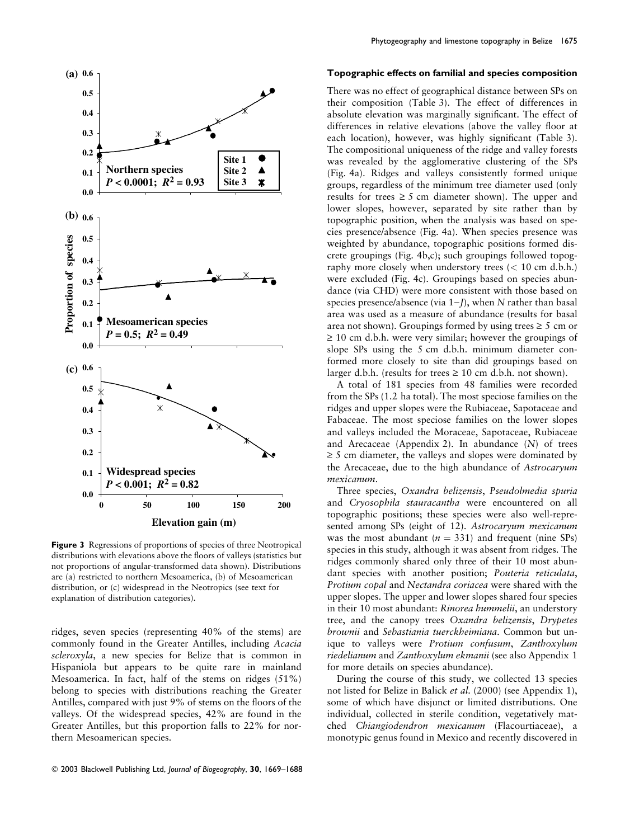

Figure 3 Regressions of proportions of species of three Neotropical distributions with elevations above the floors of valleys (statistics but not proportions of angular-transformed data shown). Distributions are (a) restricted to northern Mesoamerica, (b) of Mesoamerican distribution, or (c) widespread in the Neotropics (see text for explanation of distribution categories).

ridges, seven species (representing 40% of the stems) are commonly found in the Greater Antilles, including Acacia scleroxyla, a new species for Belize that is common in Hispaniola but appears to be quite rare in mainland Mesoamerica. In fact, half of the stems on ridges (51%) belong to species with distributions reaching the Greater Antilles, compared with just 9% of stems on the floors of the valleys. Of the widespread species, 42% are found in the Greater Antilles, but this proportion falls to 22% for northern Mesoamerican species.

## Topographic effects on familial and species composition

There was no effect of geographical distance between SPs on their composition (Table 3). The effect of differences in absolute elevation was marginally significant. The effect of differences in relative elevations (above the valley floor at each location), however, was highly significant (Table 3). The compositional uniqueness of the ridge and valley forests was revealed by the agglomerative clustering of the SPs (Fig. 4a). Ridges and valleys consistently formed unique groups, regardless of the minimum tree diameter used (only results for trees  $\geq 5$  cm diameter shown). The upper and lower slopes, however, separated by site rather than by topographic position, when the analysis was based on species presence/absence (Fig. 4a). When species presence was weighted by abundance, topographic positions formed discrete groupings (Fig. 4b,c); such groupings followed topography more closely when understory trees  $(< 10 \text{ cm d.b.h.})$ were excluded (Fig. 4c). Groupings based on species abundance (via CHD) were more consistent with those based on species presence/absence (via  $1-J$ ), when N rather than basal area was used as a measure of abundance (results for basal area not shown). Groupings formed by using trees  $\geq 5$  cm or  $\geq 10$  cm d.b.h. were very similar; however the groupings of slope SPs using the 5 cm d.b.h. minimum diameter conformed more closely to site than did groupings based on larger d.b.h. (results for trees  $\geq 10$  cm d.b.h. not shown).

A total of 181 species from 48 families were recorded from the SPs (1.2 ha total). The most speciose families on the ridges and upper slopes were the Rubiaceae, Sapotaceae and Fabaceae. The most speciose families on the lower slopes and valleys included the Moraceae, Sapotaceae, Rubiaceae and Arecaceae (Appendix 2). In abundance  $(N)$  of trees  $\geq$  5 cm diameter, the valleys and slopes were dominated by the Arecaceae, due to the high abundance of Astrocaryum mexicanum.

Three species, Oxandra belizensis, Pseudolmedia spuria and Cryosophila stauracantha were encountered on all topographic positions; these species were also well-represented among SPs (eight of 12). Astrocaryum mexicanum was the most abundant ( $n = 331$ ) and frequent (nine SPs) species in this study, although it was absent from ridges. The ridges commonly shared only three of their 10 most abundant species with another position; Pouteria reticulata, Protium copal and Nectandra coriacea were shared with the upper slopes. The upper and lower slopes shared four species in their 10 most abundant: Rinorea hummelii, an understory tree, and the canopy trees Oxandra belizensis, Drypetes brownii and Sebastiania tuerckheimiana. Common but unique to valleys were Protium confusum, Zanthoxylum riedelianum and Zanthoxylum ekmanii (see also Appendix 1 for more details on species abundance).

During the course of this study, we collected 13 species not listed for Belize in Balick et al. (2000) (see Appendix 1), some of which have disjunct or limited distributions. One individual, collected in sterile condition, vegetatively matched Chiangiodendron mexicanum (Flacourtiaceae), a monotypic genus found in Mexico and recently discovered in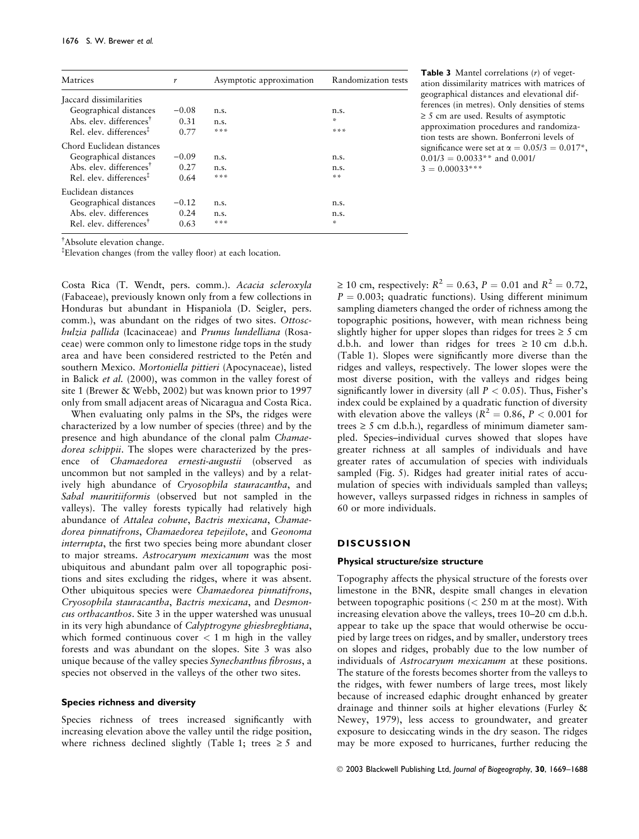| Matrices                             | r       | Asymptotic approximation | Randomization tests |
|--------------------------------------|---------|--------------------------|---------------------|
| Jaccard dissimilarities              |         |                          |                     |
| Geographical distances               | $-0.08$ | n.s.                     | n.s.                |
| Abs. elev. differences <sup>†</sup>  | 0.31    | n.s.                     | 垛                   |
| Rel. elev. differences <sup>‡</sup>  | 0.77    | ***                      | ***                 |
| Chord Euclidean distances            |         |                          |                     |
| Geographical distances               | $-0.09$ | n.s.                     | n.s.                |
| Abs. elev. differences <sup>†</sup>  | 0.27    | n.s.                     | n.s.                |
| Rel. elev. differences <sup>\$</sup> | 0.64    | ***                      | 茶茶                  |
| Euclidean distances                  |         |                          |                     |
| Geographical distances               | $-0.12$ | n.s.                     | n.s.                |
| Abs. elev. differences               | 0.24    | n.s.                     | n.s.                |
| Rel. elev. differences <sup>†</sup>  | 0.63    | ***                      | *                   |

**Table 3** Mantel correlations  $(r)$  of vegetation dissimilarity matrices with matrices of geographical distances and elevational differences (in metres). Only densities of stems  $\geq$  5 cm are used. Results of asymptotic approximation procedures and randomization tests are shown. Bonferroni levels of significance were set at  $\alpha = 0.05/3 = 0.017^*$ ,  $0.01/3 = 0.0033**$  and  $0.001/$  $3 = 0.00033***$ 

Absolute elevation change.

<sup>‡</sup>Elevation changes (from the valley floor) at each location.

Costa Rica (T. Wendt, pers. comm.). Acacia scleroxyla (Fabaceae), previously known only from a few collections in Honduras but abundant in Hispaniola (D. Seigler, pers. comm.), was abundant on the ridges of two sites. Ottoschulzia pallida (Icacinaceae) and Prunus lundelliana (Rosaceae) were common only to limestone ridge tops in the study area and have been considered restricted to the Petén and southern Mexico. Mortoniella pittieri (Apocynaceae), listed in Balick et al. (2000), was common in the valley forest of site 1 (Brewer & Webb, 2002) but was known prior to 1997 only from small adjacent areas of Nicaragua and Costa Rica.

When evaluating only palms in the SPs, the ridges were characterized by a low number of species (three) and by the presence and high abundance of the clonal palm Chamaedorea schippii. The slopes were characterized by the presence of Chamaedorea ernesti-augustii (observed as uncommon but not sampled in the valleys) and by a relatively high abundance of Cryosophila stauracantha, and Sabal mauritiiformis (observed but not sampled in the valleys). The valley forests typically had relatively high abundance of Attalea cohune, Bactris mexicana, Chamaedorea pinnatifrons, Chamaedorea tepejilote, and Geonoma interrupta, the first two species being more abundant closer to major streams. Astrocaryum mexicanum was the most ubiquitous and abundant palm over all topographic positions and sites excluding the ridges, where it was absent. Other ubiquitous species were Chamaedorea pinnatifrons, Cryosophila stauracantha, Bactris mexicana, and Desmoncus orthacanthos. Site 3 in the upper watershed was unusual in its very high abundance of Calyptrogyne ghiesbreghtiana, which formed continuous cover  $\langle 1 \text{ m high in the valley} \rangle$ forests and was abundant on the slopes. Site 3 was also unique because of the valley species Synechanthus fibrosus, a species not observed in the valleys of the other two sites.

#### Species richness and diversity

Species richness of trees increased significantly with increasing elevation above the valley until the ridge position, where richness declined slightly (Table 1; trees  $\geq 5$  and  $\geq 10$  cm, respectively:  $R^2 = 0.63$ ,  $P = 0.01$  and  $R^2 = 0.72$ ,  $P = 0.003$ ; quadratic functions). Using different minimum sampling diameters changed the order of richness among the topographic positions, however, with mean richness being slightly higher for upper slopes than ridges for trees  $\geq 5$  cm d.b.h. and lower than ridges for trees  $\geq 10$  cm d.b.h. (Table 1). Slopes were significantly more diverse than the ridges and valleys, respectively. The lower slopes were the most diverse position, with the valleys and ridges being significantly lower in diversity (all  $P < 0.05$ ). Thus, Fisher's index could be explained by a quadratic function of diversity with elevation above the valleys ( $R^2 = 0.86$ ,  $P < 0.001$  for trees  $\geq$  5 cm d.b.h.), regardless of minimum diameter sampled. Species–individual curves showed that slopes have greater richness at all samples of individuals and have greater rates of accumulation of species with individuals sampled (Fig. 5). Ridges had greater initial rates of accumulation of species with individuals sampled than valleys; however, valleys surpassed ridges in richness in samples of 60 or more individuals.

## **DISCUSSION**

#### Physical structure/size structure

Topography affects the physical structure of the forests over limestone in the BNR, despite small changes in elevation between topographic positions (< 250 m at the most). With increasing elevation above the valleys, trees 10–20 cm d.b.h. appear to take up the space that would otherwise be occupied by large trees on ridges, and by smaller, understory trees on slopes and ridges, probably due to the low number of individuals of Astrocaryum mexicanum at these positions. The stature of the forests becomes shorter from the valleys to the ridges, with fewer numbers of large trees, most likely because of increased edaphic drought enhanced by greater drainage and thinner soils at higher elevations (Furley & Newey, 1979), less access to groundwater, and greater exposure to desiccating winds in the dry season. The ridges may be more exposed to hurricanes, further reducing the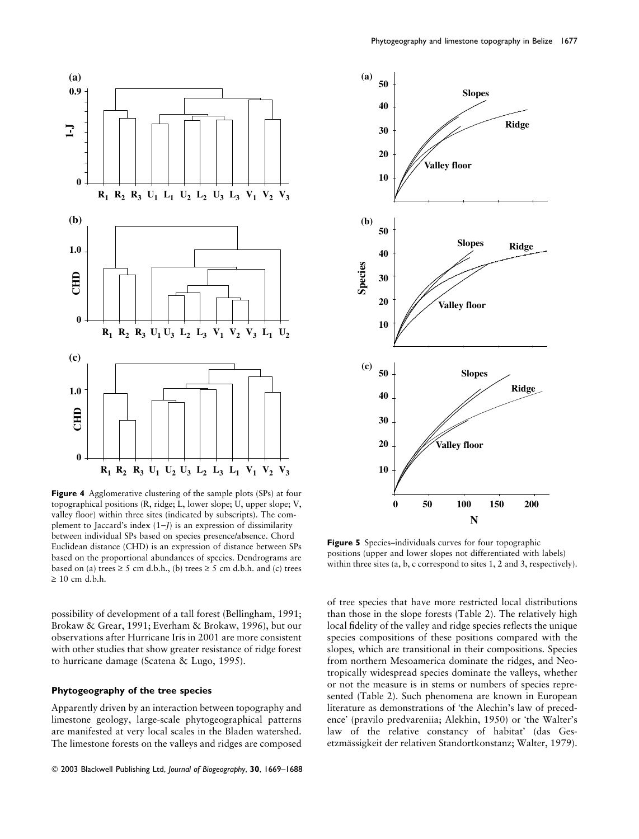

Figure 4 Agglomerative clustering of the sample plots (SPs) at four topographical positions (R, ridge; L, lower slope; U, upper slope; V, valley floor) within three sites (indicated by subscripts). The complement to Jaccard's index  $(1-I)$  is an expression of dissimilarity between individual SPs based on species presence/absence. Chord Euclidean distance (CHD) is an expression of distance between SPs based on the proportional abundances of species. Dendrograms are based on (a) trees  $\geq 5$  cm d.b.h., (b) trees  $\geq 5$  cm d.b.h. and (c) trees  $\geq 10$  cm d.b.h.

possibility of development of a tall forest (Bellingham, 1991; Brokaw & Grear, 1991; Everham & Brokaw, 1996), but our observations after Hurricane Iris in 2001 are more consistent with other studies that show greater resistance of ridge forest to hurricane damage (Scatena & Lugo, 1995).

#### Phytogeography of the tree species

Apparently driven by an interaction between topography and limestone geology, large-scale phytogeographical patterns are manifested at very local scales in the Bladen watershed. The limestone forests on the valleys and ridges are composed



Figure 5 Species–individuals curves for four topographic positions (upper and lower slopes not differentiated with labels) within three sites (a, b, c correspond to sites 1, 2 and 3, respectively).

of tree species that have more restricted local distributions than those in the slope forests (Table 2). The relatively high local fidelity of the valley and ridge species reflects the unique species compositions of these positions compared with the slopes, which are transitional in their compositions. Species from northern Mesoamerica dominate the ridges, and Neotropically widespread species dominate the valleys, whether or not the measure is in stems or numbers of species represented (Table 2). Such phenomena are known in European literature as demonstrations of 'the Alechin's law of precedence' (pravilo predvareniia; Alekhin, 1950) or 'the Walter's law of the relative constancy of habitat' (das Gesetzmässigkeit der relativen Standortkonstanz; Walter, 1979).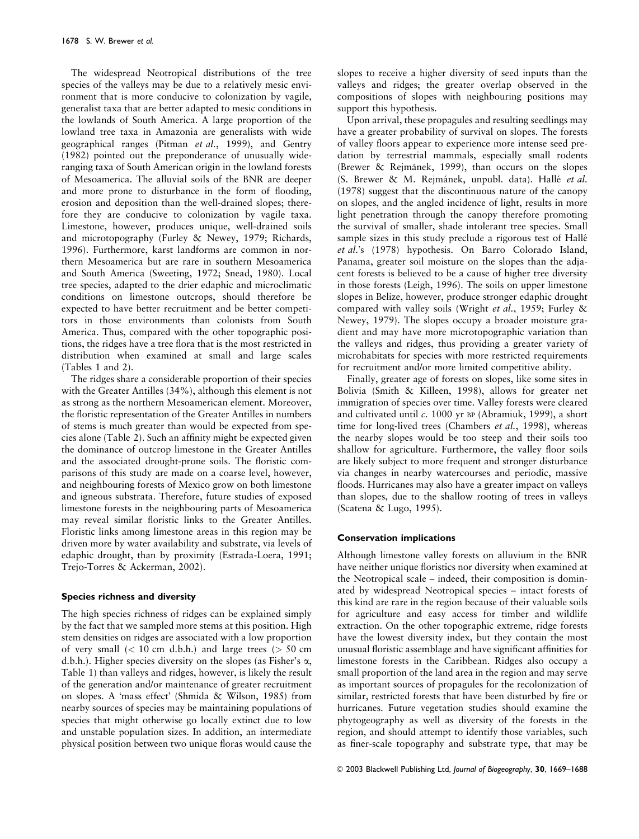The widespread Neotropical distributions of the tree species of the valleys may be due to a relatively mesic environment that is more conducive to colonization by vagile, generalist taxa that are better adapted to mesic conditions in the lowlands of South America. A large proportion of the lowland tree taxa in Amazonia are generalists with wide geographical ranges (Pitman et al., 1999), and Gentry (1982) pointed out the preponderance of unusually wideranging taxa of South American origin in the lowland forests of Mesoamerica. The alluvial soils of the BNR are deeper and more prone to disturbance in the form of flooding, erosion and deposition than the well-drained slopes; therefore they are conducive to colonization by vagile taxa. Limestone, however, produces unique, well-drained soils and microtopography (Furley & Newey, 1979; Richards, 1996). Furthermore, karst landforms are common in northern Mesoamerica but are rare in southern Mesoamerica and South America (Sweeting, 1972; Snead, 1980). Local tree species, adapted to the drier edaphic and microclimatic conditions on limestone outcrops, should therefore be expected to have better recruitment and be better competitors in those environments than colonists from South America. Thus, compared with the other topographic positions, the ridges have a tree flora that is the most restricted in distribution when examined at small and large scales (Tables 1 and 2).

The ridges share a considerable proportion of their species with the Greater Antilles (34%), although this element is not as strong as the northern Mesoamerican element. Moreover, the floristic representation of the Greater Antilles in numbers of stems is much greater than would be expected from species alone (Table 2). Such an affinity might be expected given the dominance of outcrop limestone in the Greater Antilles and the associated drought-prone soils. The floristic comparisons of this study are made on a coarse level, however, and neighbouring forests of Mexico grow on both limestone and igneous substrata. Therefore, future studies of exposed limestone forests in the neighbouring parts of Mesoamerica may reveal similar floristic links to the Greater Antilles. Floristic links among limestone areas in this region may be driven more by water availability and substrate, via levels of edaphic drought, than by proximity (Estrada-Loera, 1991; Trejo-Torres & Ackerman, 2002).

#### Species richness and diversity

The high species richness of ridges can be explained simply by the fact that we sampled more stems at this position. High stem densities on ridges are associated with a low proportion of very small  $(< 10$  cm d.b.h.) and large trees  $(> 50$  cm d.b.h.). Higher species diversity on the slopes (as Fisher's  $\alpha$ , Table 1) than valleys and ridges, however, is likely the result of the generation and/or maintenance of greater recruitment on slopes. A 'mass effect' (Shmida & Wilson, 1985) from nearby sources of species may be maintaining populations of species that might otherwise go locally extinct due to low and unstable population sizes. In addition, an intermediate physical position between two unique floras would cause the

slopes to receive a higher diversity of seed inputs than the valleys and ridges; the greater overlap observed in the compositions of slopes with neighbouring positions may support this hypothesis.

Upon arrival, these propagules and resulting seedlings may have a greater probability of survival on slopes. The forests of valley floors appear to experience more intense seed predation by terrestrial mammals, especially small rodents (Brewer & Rejmánek, 1999), than occurs on the slopes (S. Brewer & M. Rejmánek, unpubl. data). Hallé et al. (1978) suggest that the discontinuous nature of the canopy on slopes, and the angled incidence of light, results in more light penetration through the canopy therefore promoting the survival of smaller, shade intolerant tree species. Small sample sizes in this study preclude a rigorous test of Hallé et al.'s (1978) hypothesis. On Barro Colorado Island, Panama, greater soil moisture on the slopes than the adjacent forests is believed to be a cause of higher tree diversity in those forests (Leigh, 1996). The soils on upper limestone slopes in Belize, however, produce stronger edaphic drought compared with valley soils (Wright et al., 1959; Furley & Newey, 1979). The slopes occupy a broader moisture gradient and may have more microtopographic variation than the valleys and ridges, thus providing a greater variety of microhabitats for species with more restricted requirements for recruitment and/or more limited competitive ability.

Finally, greater age of forests on slopes, like some sites in Bolivia (Smith & Killeen, 1998), allows for greater net immigration of species over time. Valley forests were cleared and cultivated until c. 1000 yr BP (Abramiuk, 1999), a short time for long-lived trees (Chambers et al., 1998), whereas the nearby slopes would be too steep and their soils too shallow for agriculture. Furthermore, the valley floor soils are likely subject to more frequent and stronger disturbance via changes in nearby watercourses and periodic, massive floods. Hurricanes may also have a greater impact on valleys than slopes, due to the shallow rooting of trees in valleys (Scatena & Lugo, 1995).

#### Conservation implications

Although limestone valley forests on alluvium in the BNR have neither unique floristics nor diversity when examined at the Neotropical scale – indeed, their composition is dominated by widespread Neotropical species – intact forests of this kind are rare in the region because of their valuable soils for agriculture and easy access for timber and wildlife extraction. On the other topographic extreme, ridge forests have the lowest diversity index, but they contain the most unusual floristic assemblage and have significant affinities for limestone forests in the Caribbean. Ridges also occupy a small proportion of the land area in the region and may serve as important sources of propagules for the recolonization of similar, restricted forests that have been disturbed by fire or hurricanes. Future vegetation studies should examine the phytogeography as well as diversity of the forests in the region, and should attempt to identify those variables, such as finer-scale topography and substrate type, that may be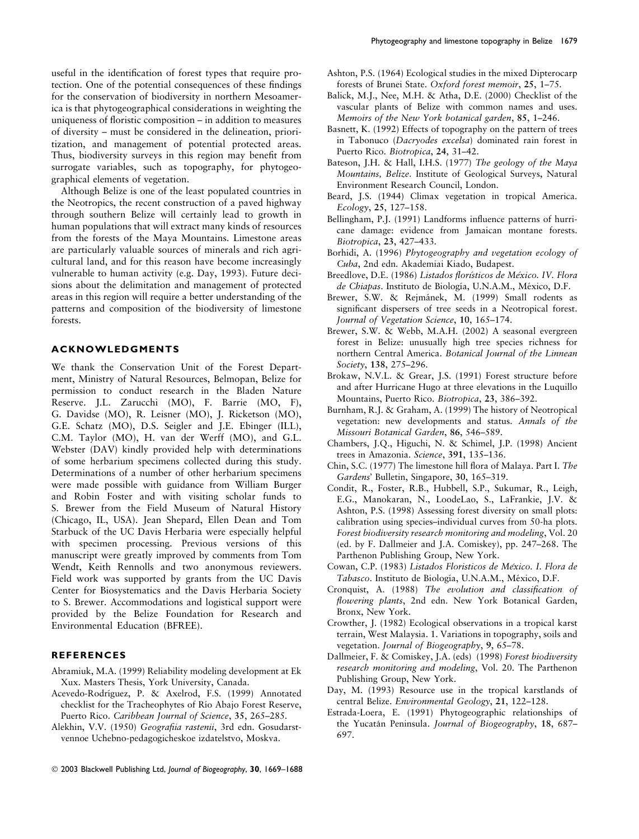useful in the identification of forest types that require protection. One of the potential consequences of these findings for the conservation of biodiversity in northern Mesoamerica is that phytogeographical considerations in weighting the uniqueness of floristic composition – in addition to measures of diversity – must be considered in the delineation, prioritization, and management of potential protected areas. Thus, biodiversity surveys in this region may benefit from surrogate variables, such as topography, for phytogeographical elements of vegetation.

Although Belize is one of the least populated countries in the Neotropics, the recent construction of a paved highway through southern Belize will certainly lead to growth in human populations that will extract many kinds of resources from the forests of the Maya Mountains. Limestone areas are particularly valuable sources of minerals and rich agricultural land, and for this reason have become increasingly vulnerable to human activity (e.g. Day, 1993). Future decisions about the delimitation and management of protected areas in this region will require a better understanding of the patterns and composition of the biodiversity of limestone forests.

# ACKNOWLEDGMENTS

We thank the Conservation Unit of the Forest Department, Ministry of Natural Resources, Belmopan, Belize for permission to conduct research in the Bladen Nature Reserve. J.L. Zarucchi (MO), F. Barrie (MO, F), G. Davidse (MO), R. Leisner (MO), J. Ricketson (MO), G.E. Schatz (MO), D.S. Seigler and J.E. Ebinger (ILL), C.M. Taylor (MO), H. van der Werff (MO), and G.L. Webster (DAV) kindly provided help with determinations of some herbarium specimens collected during this study. Determinations of a number of other herbarium specimens were made possible with guidance from William Burger and Robin Foster and with visiting scholar funds to S. Brewer from the Field Museum of Natural History (Chicago, IL, USA). Jean Shepard, Ellen Dean and Tom Starbuck of the UC Davis Herbaria were especially helpful with specimen processing. Previous versions of this manuscript were greatly improved by comments from Tom Wendt, Keith Rennolls and two anonymous reviewers. Field work was supported by grants from the UC Davis Center for Biosystematics and the Davis Herbaria Society to S. Brewer. Accommodations and logistical support were provided by the Belize Foundation for Research and Environmental Education (BFREE).

#### REFERENCES

- Abramiuk, M.A. (1999) Reliability modeling development at Ek Xux. Masters Thesis, York University, Canada.
- Acevedo-Rodríguez, P. & Axelrod, F.S. (1999) Annotated checklist for the Tracheophytes of Río Abajo Forest Reserve, Puerto Rico. Caribbean Journal of Science, 35, 265–285.
- Alekhin, V.V. (1950) Geografiia rastenii, 3rd edn. Gosudarstvennoe Uchebno-pedagogicheskoe izdatelstvo, Moskva.
- Ashton, P.S. (1964) Ecological studies in the mixed Dipterocarp forests of Brunei State. Oxford forest memoir, 25, 1–75.
- Balick, M.J., Nee, M.H. & Atha, D.E. (2000) Checklist of the vascular plants of Belize with common names and uses. Memoirs of the New York botanical garden, 85, 1–246.
- Basnett, K. (1992) Effects of topography on the pattern of trees in Tabonuco (Dacryodes excelsa) dominated rain forest in Puerto Rico. Biotropica, 24, 31–42.
- Bateson, J.H. & Hall, I.H.S. (1977) The geology of the Maya Mountains, Belize. Institute of Geological Surveys, Natural Environment Research Council, London.
- Beard, J.S. (1944) Climax vegetation in tropical America. Ecology, 25, 127–158.
- Bellingham, P.J. (1991) Landforms influence patterns of hurricane damage: evidence from Jamaican montane forests. Biotropica, 23, 427–433.
- Borhidi, A. (1996) Phytogeography and vegetation ecology of Cuba, 2nd edn. Akademiai Kiado, Budapest.
- Breedlove, D.E. (1986) Listados florísticos de México. IV. Flora de Chiapas. Instituto de Biología, U.N.A.M., México, D.F.
- Brewer, S.W. & Rejmánek, M. (1999) Small rodents as significant dispersers of tree seeds in a Neotropical forest. Journal of Vegetation Science, 10, 165–174.
- Brewer, S.W. & Webb, M.A.H. (2002) A seasonal evergreen forest in Belize: unusually high tree species richness for northern Central America. Botanical Journal of the Linnean Society, 138, 275–296.
- Brokaw, N.V.L. & Grear, J.S. (1991) Forest structure before and after Hurricane Hugo at three elevations in the Luquillo Mountains, Puerto Rico. Biotropica, 23, 386–392.
- Burnham, R.J. & Graham, A. (1999) The history of Neotropical vegetation: new developments and status. Annals of the Missouri Botanical Garden, 86, 546–589.
- Chambers, J.Q., Higuchi, N. & Schimel, J.P. (1998) Ancient trees in Amazonia. Science, 391, 135–136.
- Chin, S.C. (1977) The limestone hill flora of Malaya. Part I. The Gardens' Bulletin, Singapore, 30, 165-319.
- Condit, R., Foster, R.B., Hubbell, S.P., Sukumar, R., Leigh, E.G., Manokaran, N., LoodeLao, S., LaFrankie, J.V. & Ashton, P.S. (1998) Assessing forest diversity on small plots: calibration using species–individual curves from 50-ha plots. Forest biodiversity research monitoring and modeling, Vol. 20 (ed. by F. Dallmeier and J.A. Comiskey), pp. 247–268. The Parthenon Publishing Group, New York.
- Cowan, C.P. (1983) Listados Floristicos de México. I. Flora de Tabasco. Instituto de Biología, U.N.A.M., México, D.F.
- Cronquist, A. (1988) The evolution and classification of flowering plants, 2nd edn. New York Botanical Garden, Bronx, New York.
- Crowther, J. (1982) Ecological observations in a tropical karst terrain, West Malaysia. 1. Variations in topography, soils and vegetation. Journal of Biogeography, 9, 65–78.
- Dallmeier, F. & Comiskey, J.A. (eds) (1998) Forest biodiversity research monitoring and modeling, Vol. 20. The Parthenon Publishing Group, New York.
- Day, M. (1993) Resource use in the tropical karstlands of central Belize. Environmental Geology, 21, 122–128.
- Estrada-Loera, E. (1991) Phytogeographic relationships of the Yucatán Peninsula. Journal of Biogeography, 18, 687– 697.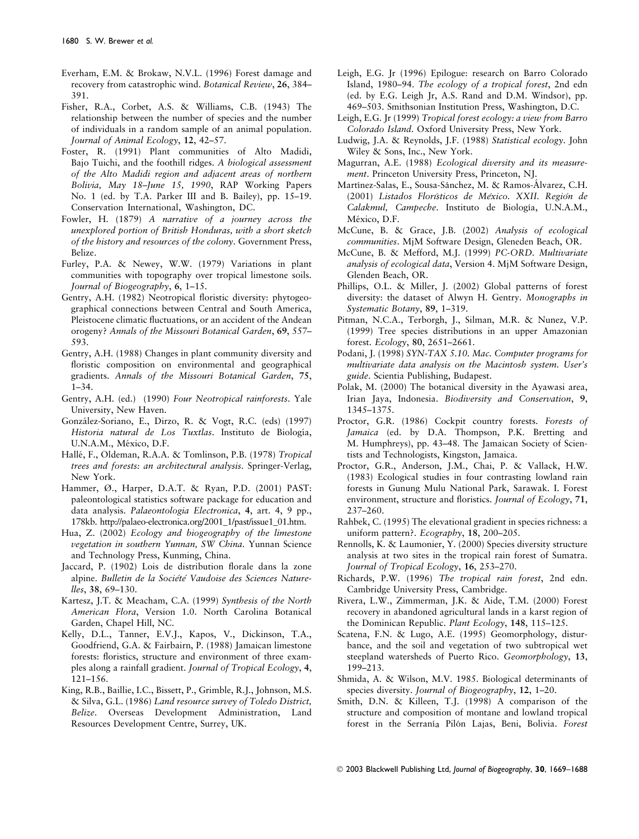- Everham, E.M. & Brokaw, N.V.L. (1996) Forest damage and recovery from catastrophic wind. Botanical Review, 26, 384– 391.
- Fisher, R.A., Corbet, A.S. & Williams, C.B. (1943) The relationship between the number of species and the number of individuals in a random sample of an animal population. Journal of Animal Ecology, 12, 42–57.
- Foster, R. (1991) Plant communities of Alto Madidi, Bajo Tuichi, and the foothill ridges. A biological assessment of the Alto Madidi region and adjacent areas of northern Bolivia, May 18–June 15, 1990, RAP Working Papers No. 1 (ed. by T.A. Parker III and B. Bailey), pp. 15–19. Conservation International, Washington, DC.
- Fowler, H. (1879) A narrative of a journey across the unexplored portion of British Honduras, with a short sketch of the history and resources of the colony. Government Press, Belize.
- Furley, P.A. & Newey, W.W. (1979) Variations in plant communities with topography over tropical limestone soils. Journal of Biogeography, 6, 1–15.
- Gentry, A.H. (1982) Neotropical floristic diversity: phytogeographical connections between Central and South America, Pleistocene climatic fluctuations, or an accident of the Andean orogeny? Annals of the Missouri Botanical Garden, 69, 557– 593.
- Gentry, A.H. (1988) Changes in plant community diversity and floristic composition on environmental and geographical gradients. Annals of the Missouri Botanical Garden, 75,  $1 - 34$
- Gentry, A.H. (ed.) (1990) Four Neotropical rainforests. Yale University, New Haven.
- González-Soriano, E., Dirzo, R. & Vogt, R.C. (eds) (1997) Historia natural de Los Tuxtlas. Instituto de Biología, U.N.A.M., México, D.F.
- Hallé, F., Oldeman, R.A.A. & Tomlinson, P.B. (1978) Tropical trees and forests: an architectural analysis. Springer-Verlag, New York.
- Hammer, Ø., Harper, D.A.T. & Ryan, P.D. (2001) PAST: paleontological statistics software package for education and data analysis. Palaeontologia Electronica, 4, art. 4, 9 pp., 178kb. http://palaeo-electronica.org/2001\_1/past/issue1\_01.htm.
- Hua, Z. (2002) Ecology and biogeography of the limestone vegetation in southern Yunnan, SW China. Yunnan Science and Technology Press, Kunming, China.
- Jaccard, P. (1902) Lois de distribution florale dans la zone alpine. Bulletin de la Société Vaudoise des Sciences Naturelles, 38, 69–130.
- Kartesz, J.T. & Meacham, C.A. (1999) Synthesis of the North American Flora, Version 1.0. North Carolina Botanical Garden, Chapel Hill, NC.
- Kelly, D.L., Tanner, E.V.J., Kapos, V., Dickinson, T.A., Goodfriend, G.A. & Fairbairn, P. (1988) Jamaican limestone forests: floristics, structure and environment of three examples along a rainfall gradient. Journal of Tropical Ecology, 4, 121–156.
- King, R.B., Baillie, I.C., Bissett, P., Grimble, R.J., Johnson, M.S. & Silva, G.L. (1986) Land resource survey of Toledo District, Belize. Overseas Development Administration, Land Resources Development Centre, Surrey, UK.
- Leigh, E.G. Jr (1996) Epilogue: research on Barro Colorado Island, 1980–94. The ecology of a tropical forest, 2nd edn (ed. by E.G. Leigh Jr, A.S. Rand and D.M. Windsor), pp. 469–503. Smithsonian Institution Press, Washington, D.C.
- Leigh, E.G. Jr (1999) Tropical forest ecology: a view from Barro Colorado Island. Oxford University Press, New York.
- Ludwig, J.A. & Reynolds, J.F. (1988) Statistical ecology. John Wiley & Sons, Inc., New York.
- Magurran, A.E. (1988) Ecological diversity and its measurement. Princeton University Press, Princeton, NJ.
- Martínez-Salas, E., Sousa-Sánchez, M. & Ramos-Álvarez, C.H. (2001) Listados Florísticos de México. XXII. Región de Calakmul, Campeche. Instituto de Biología, U.N.A.M., México, D.F.
- McCune, B. & Grace, J.B. (2002) Analysis of ecological communities. MjM Software Design, Gleneden Beach, OR.
- McCune, B. & Mefford, M.J. (1999) PC-ORD. Multivariate analysis of ecological data, Version 4. MjM Software Design, Glenden Beach, OR.
- Phillips, O.L. & Miller, J. (2002) Global patterns of forest diversity: the dataset of Alwyn H. Gentry. Monographs in Systematic Botany, 89, 1–319.
- Pitman, N.C.A., Terborgh, J., Silman, M.R. & Nunez, V.P. (1999) Tree species distributions in an upper Amazonian forest. Ecology, 80, 2651–2661.
- Podani, J. (1998) SYN-TAX 5.10. Mac. Computer programs for multivariate data analysis on the Macintosh system. User's guide. Scientia Publishing, Budapest.
- Polak, M. (2000) The botanical diversity in the Ayawasi area, Irian Jaya, Indonesia. Biodiversity and Conservation, 9, 1345–1375.
- Proctor, G.R. (1986) Cockpit country forests. Forests of Jamaica (ed. by D.A. Thompson, P.K. Bretting and M. Humphreys), pp. 43–48. The Jamaican Society of Scientists and Technologists, Kingston, Jamaica.
- Proctor, G.R., Anderson, J.M., Chai, P. & Vallack, H.W. (1983) Ecological studies in four contrasting lowland rain forests in Gunung Mulu National Park, Sarawak. I. Forest environment, structure and floristics. Journal of Ecology, 71, 237–260.
- Rahbek, C. (1995) The elevational gradient in species richness: a uniform pattern?. Ecography, 18, 200-205.
- Rennolls, K. & Laumonier, Y. (2000) Species diversity structure analysis at two sites in the tropical rain forest of Sumatra. Journal of Tropical Ecology, 16, 253–270.
- Richards, P.W. (1996) The tropical rain forest, 2nd edn. Cambridge University Press, Cambridge.
- Rivera, L.W., Zimmerman, J.K. & Aide, T.M. (2000) Forest recovery in abandoned agricultural lands in a karst region of the Dominican Republic. Plant Ecology, 148, 115–125.
- Scatena, F.N. & Lugo, A.E. (1995) Geomorphology, disturbance, and the soil and vegetation of two subtropical wet steepland watersheds of Puerto Rico. Geomorphology, 13, 199–213.
- Shmida, A. & Wilson, M.V. 1985. Biological determinants of species diversity. *Journal of Biogeography*, 12, 1–20.
- Smith, D.N. & Killeen, T.J. (1998) A comparison of the structure and composition of montane and lowland tropical forest in the Serranía Pilón Lajas, Beni, Bolivia. Forest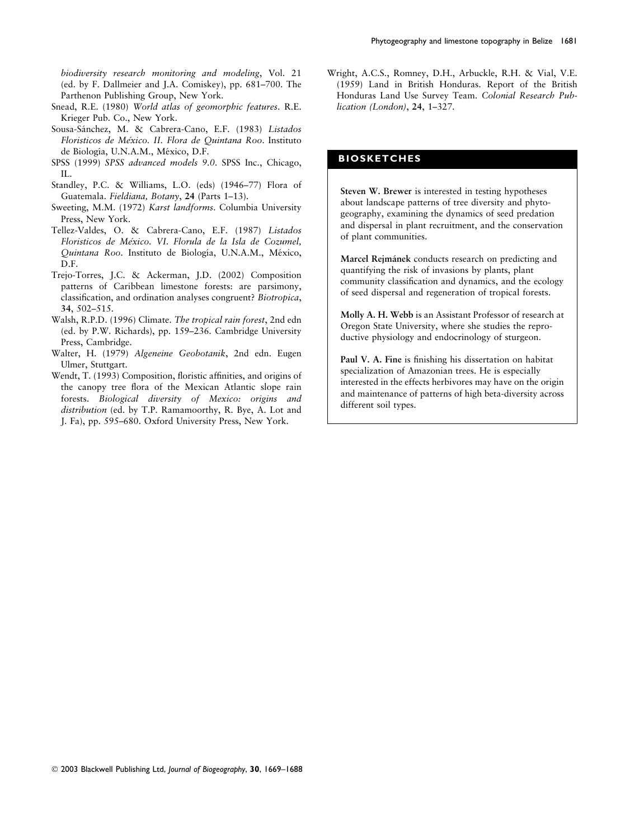biodiversity research monitoring and modeling, Vol. 21 (ed. by F. Dallmeier and J.A. Comiskey), pp. 681–700. The Parthenon Publishing Group, New York.

- Snead, R.E. (1980) World atlas of geomorphic features. R.E. Krieger Pub. Co., New York.
- Sousa-Sánchez, M. & Cabrera-Cano, E.F. (1983) Listados Floristicos de Me´xico. II. Flora de Quintana Roo. Instituto de Biología, U.N.A.M., México, D.F.
- SPSS (1999) SPSS advanced models 9.0. SPSS Inc., Chicago, IL.
- Standley, P.C. & Williams, L.O. (eds) (1946–77) Flora of Guatemala. Fieldiana, Botany, 24 (Parts 1–13).
- Sweeting, M.M. (1972) Karst landforms. Columbia University Press, New York.
- Tellez-Valdes, O. & Cabrera-Cano, E.F. (1987) Listados Floristicos de México. VI. Florula de la Isla de Cozumel, Quintana Roo. Instituto de Biología, U.N.A.M., México, D.F.
- Trejo-Torres, J.C. & Ackerman, J.D. (2002) Composition patterns of Caribbean limestone forests: are parsimony, classification, and ordination analyses congruent? Biotropica, 34, 502–515.
- Walsh, R.P.D. (1996) Climate. The tropical rain forest, 2nd edn (ed. by P.W. Richards), pp. 159–236. Cambridge University Press, Cambridge.
- Walter, H. (1979) Algeneine Geobotanik, 2nd edn. Eugen Ulmer, Stuttgart.
- Wendt, T. (1993) Composition, floristic affinities, and origins of the canopy tree flora of the Mexican Atlantic slope rain forests. Biological diversity of Mexico: origins and distribution (ed. by T.P. Ramamoorthy, R. Bye, A. Lot and J. Fa), pp. 595–680. Oxford University Press, New York.

Wright, A.C.S., Romney, D.H., Arbuckle, R.H. & Vial, V.E. (1959) Land in British Honduras. Report of the British Honduras Land Use Survey Team. Colonial Research Publication (London), 24, 1–327.

#### BIOSKETCHES

Steven W. Brewer is interested in testing hypotheses about landscape patterns of tree diversity and phytogeography, examining the dynamics of seed predation and dispersal in plant recruitment, and the conservation of plant communities.

Marcel Rejmánek conducts research on predicting and quantifying the risk of invasions by plants, plant community classification and dynamics, and the ecology of seed dispersal and regeneration of tropical forests.

Molly A. H. Webb is an Assistant Professor of research at Oregon State University, where she studies the reproductive physiology and endocrinology of sturgeon.

Paul V. A. Fine is finishing his dissertation on habitat specialization of Amazonian trees. He is especially interested in the effects herbivores may have on the origin and maintenance of patterns of high beta-diversity across different soil types.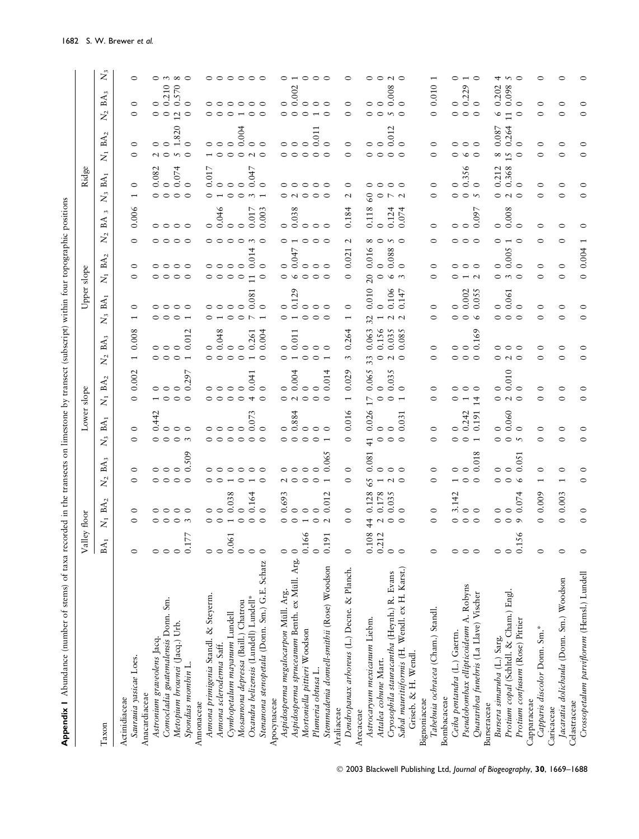| $\frac{1}{2}$<br>$\ddot{\phantom{a}}$                                                |
|--------------------------------------------------------------------------------------|
| j<br>ï<br>l                                                                          |
| ţ<br>l<br>ł                                                                          |
| $\overline{a}$<br>j<br>j<br>l<br>ś<br>֖ׅ֖֚֚֚֚֚֚֚֚֚֚֚֚֚֚֚֚֚֚֚֚֚֚֬֝֝֡֡֡֡֡֡֬֝֬֝֓֡֡֡֬֓֞֬ |
| Ę<br>ı                                                                               |
|                                                                                      |
| Í                                                                                    |
| <br> <br>                                                                            |
| ï<br>j<br>ł<br>ś<br>ś                                                                |
| ١                                                                                    |
| i<br>١<br>j                                                                          |
|                                                                                      |
| ׇ֘֒<br>i<br>i<br>h                                                                   |
| ֚֘֝֬<br>ļ<br>İ                                                                       |
| í                                                                                    |
| i                                                                                    |
|                                                                                      |
| j<br>ţ<br>i                                                                          |
| í<br>j<br>$\frac{1}{2}$                                                              |
| j<br>j                                                                               |
| ī<br>j<br>ׇ֠                                                                         |
|                                                                                      |
| ï                                                                                    |
| Í                                                                                    |
| Ξ                                                                                    |
| i<br>ė<br>l                                                                          |
| j<br>ł                                                                               |
|                                                                                      |
| i<br>$\ddot{ }$<br>l<br>$\overline{a}$                                               |
| i<br>ć                                                                               |

|                                                                           | <b>Valley</b>  | floor                                        |                                                                              | Lower slope                                |                                                                                                                                                                                                                                                                                                                                                                                                                                                                                         |                                                  | Upper                                                               | slope                                 |                                       |                                    | Ridge                                             |                                                                                                  |                                                                               |                           |
|---------------------------------------------------------------------------|----------------|----------------------------------------------|------------------------------------------------------------------------------|--------------------------------------------|-----------------------------------------------------------------------------------------------------------------------------------------------------------------------------------------------------------------------------------------------------------------------------------------------------------------------------------------------------------------------------------------------------------------------------------------------------------------------------------------|--------------------------------------------------|---------------------------------------------------------------------|---------------------------------------|---------------------------------------|------------------------------------|---------------------------------------------------|--------------------------------------------------------------------------------------------------|-------------------------------------------------------------------------------|---------------------------|
| Taxon                                                                     | BA,            | $\mathrm{BA}_2$<br>Σ,                        | <b>BA</b><br>$\aleph_2$                                                      | ∢<br>⋍<br>$X_3$                            | $\mathrm{BA}_2$<br>$\bar{\mathsf{x}}$                                                                                                                                                                                                                                                                                                                                                                                                                                                   | BA <sub>3</sub><br>$N_2$                         | BA <sub>1</sub><br>z                                                | BA.<br>Σ                              | $N_{2}$                               | z<br>3<br>BA                       | BA <sub>1</sub>                                   | $\mathrm{BA}_2$<br>Ż                                                                             | BA <sub>3</sub><br>$N_{2}$                                                    | z                         |
| Saurauia yasicae Loes.<br>Anacardiaceae<br>Actinidiaceae                  |                | $\circ$<br>$\circ$                           | $\circ$<br>$\circ$                                                           | $\circ$<br>$\circ$                         | 0.002<br>$\circ$                                                                                                                                                                                                                                                                                                                                                                                                                                                                        | $^{\circ}$<br>$\infty$<br>ö                      | $\circ$<br>$\overline{\phantom{0}}$                                 | $\circ$<br>$\circ$                    | $\circ$                               | .006<br>$\dot{\circ}$              | $\circ$                                           | $\circ$<br>$\circ$                                                                               | $\circ$<br>$\circ$                                                            | ᅌ                         |
| Astronium graveolens Jacq.                                                |                |                                              |                                                                              |                                            |                                                                                                                                                                                                                                                                                                                                                                                                                                                                                         |                                                  |                                                                     |                                       |                                       |                                    |                                                   |                                                                                                  |                                                                               |                           |
| Comocladia guatemalensis Donn. Sm.                                        |                |                                              |                                                                              |                                            |                                                                                                                                                                                                                                                                                                                                                                                                                                                                                         |                                                  |                                                                     |                                       |                                       |                                    |                                                   |                                                                                                  |                                                                               |                           |
| Metopium brownei (Jacq.) Urb.                                             |                | $\circ \circ \circ \circ$                    | 0000<br>$\circ \circ \circ \circ$                                            | $\circ \circ \circ \circ$                  | 0000<br>$\overline{\phantom{0}}$ $\overline{\phantom{0}}$ $\overline{\phantom{0}}$ $\overline{\phantom{0}}$ $\overline{\phantom{0}}$ $\overline{\phantom{0}}$ $\overline{\phantom{0}}$ $\overline{\phantom{0}}$ $\overline{\phantom{0}}$ $\overline{\phantom{0}}$ $\overline{\phantom{0}}$ $\overline{\phantom{0}}$ $\overline{\phantom{0}}$ $\overline{\phantom{0}}$ $\overline{\phantom{0}}$ $\overline{\phantom{0}}$ $\overline{\phantom{0}}$ $\overline{\phantom{0}}$ $\overline{\$ | 0000<br>0001                                     | $\circ \circ \circ \circ$<br>0001                                   | $\circ \circ \circ \circ$<br>0000     | $\circ \circ \circ \circ$             | $\circ \circ \circ \circ$          | ं ० ० ०<br>$\circ \circ \circ \circ$              | $Q \circ R$                                                                                      |                                                                               | $\circ$ m $\circ$ $\circ$ |
| Spondias mombin L.                                                        |                | 000m                                         |                                                                              | 000m                                       |                                                                                                                                                                                                                                                                                                                                                                                                                                                                                         | $\mathcal{L}$                                    |                                                                     |                                       |                                       |                                    |                                                   | $\circ$ $\circ$ $\circ$                                                                          | 0000<br>00N                                                                   |                           |
| Annonaceae                                                                |                |                                              |                                                                              |                                            |                                                                                                                                                                                                                                                                                                                                                                                                                                                                                         |                                                  |                                                                     |                                       |                                       |                                    |                                                   |                                                                                                  |                                                                               |                           |
| Annona primigenia Standl. & Steyerm.                                      |                | $\circ \circ \circ \circ$                    |                                                                              |                                            |                                                                                                                                                                                                                                                                                                                                                                                                                                                                                         |                                                  |                                                                     | $\circ \circ \circ \circ$             |                                       | $\circ$                            |                                                   |                                                                                                  |                                                                               |                           |
| Annona scleroderna Saff.                                                  |                |                                              |                                                                              |                                            |                                                                                                                                                                                                                                                                                                                                                                                                                                                                                         | $^{\circ}$<br>혼                                  |                                                                     |                                       |                                       | $\circ$                            |                                                   |                                                                                                  |                                                                               |                           |
| Cymbopetalum mayanum Lundell                                              |                |                                              |                                                                              |                                            |                                                                                                                                                                                                                                                                                                                                                                                                                                                                                         |                                                  |                                                                     |                                       |                                       |                                    |                                                   |                                                                                                  |                                                                               |                           |
| Mosannona depressa (Baill.) Chatrou                                       |                | $\circ \circ \neg \circ \circ \circ$         | 000000<br>000000                                                             | 000000<br>$\circ\circ\circ\circ\circ\circ$ | 000000<br>$\circ \circ \circ \circ \ast \circ$                                                                                                                                                                                                                                                                                                                                                                                                                                          | 000000<br>$\circ \circ \circ \circ \dashv \circ$ | 000000<br>$\circ\;\text{-}\;\text{-}\;\text{-}\;\text{-}\;\text{-}$ | 000000                                | $\circ \circ \circ \circ \circ \circ$ | $\circ \circ \circ$                | 000000<br>$\circ$ $\circ$ $\circ$ $\circ$ $\circ$ | $\circ \circ \circ \circ \circ \circ$<br>$\lnot$ $\lnot$ $\lnot$ $\lnot$ $\lnot$ $\lnot$ $\lnot$ | $\circ \circ \circ \circ \circ \circ$<br>$\circ \circ \circ \neg \circ \circ$ | 。。。。。。                    |
| Oxandra belizensis (Lundell) Lundell*                                     |                | Z<br>$\circ$ $\circ$                         |                                                                              |                                            |                                                                                                                                                                                                                                                                                                                                                                                                                                                                                         | 2                                                |                                                                     | $\overline{ }$                        |                                       | ↖                                  |                                                   |                                                                                                  |                                                                               |                           |
| Stenanona stenopetala (Donn. Sm.) G.E. Schatz                             |                |                                              |                                                                              |                                            |                                                                                                                                                                                                                                                                                                                                                                                                                                                                                         | 004                                              |                                                                     | $\circ$                               |                                       | 0.003                              | $\overline{\phantom{0}}$                          |                                                                                                  |                                                                               |                           |
| Apocynaceae                                                               |                |                                              |                                                                              |                                            |                                                                                                                                                                                                                                                                                                                                                                                                                                                                                         |                                                  |                                                                     |                                       |                                       |                                    |                                                   |                                                                                                  |                                                                               |                           |
| Aspidosperma megalocarpon Müll. Arg.                                      |                |                                              |                                                                              |                                            |                                                                                                                                                                                                                                                                                                                                                                                                                                                                                         |                                                  |                                                                     | $\circ$                               |                                       |                                    |                                                   |                                                                                                  |                                                                               | $\circ$ $\overline{ }$    |
| Aspidosperna spruceanum Benth. ex Müll. Arg.                              |                | 00000<br>$00 - 01$                           | 00000<br>$\begin{array}{c} \n 0 \\  0 \\  0 \\  0 \\  0 \\  0\n \end{array}$ | 00000<br>00007                             | $\circ\,\dot{\circ}\,\circ\,\circ\,\dot{\circ}$<br>$\circ \circ \circ \circ \circ$                                                                                                                                                                                                                                                                                                                                                                                                      | 00000<br>$\circ$ $\circ$ $\circ$ $\circ$ $\circ$ | $\circ \circ \circ \circ \circ$<br>$\circ$ $\circ$ $\circ$ $\circ$  | $\circ \circ \circ \circ \circ$       | $\circ$ $\circ$ $\circ$ $\circ$       | 38<br>$\circ\,\circ\,\circ\,\circ$ | 00000<br>$\circ$ $\circ$ $\circ$ $\circ$          | 00000<br>$\circ \circ \circ \circ \circ$                                                         | 00000<br>000000                                                               |                           |
| Mortoniella pittieri Woodson                                              |                |                                              |                                                                              |                                            |                                                                                                                                                                                                                                                                                                                                                                                                                                                                                         |                                                  |                                                                     | $\circ \circ \circ$                   |                                       |                                    |                                                   |                                                                                                  |                                                                               | $\circ \circ \circ$       |
| Plumeria obtusa L.                                                        |                |                                              |                                                                              |                                            |                                                                                                                                                                                                                                                                                                                                                                                                                                                                                         |                                                  |                                                                     |                                       |                                       |                                    |                                                   |                                                                                                  |                                                                               |                           |
| Stemmadenia donnell-smithii (Rose) Woodson                                | $\overline{0}$ |                                              |                                                                              |                                            |                                                                                                                                                                                                                                                                                                                                                                                                                                                                                         |                                                  |                                                                     |                                       |                                       |                                    |                                                   |                                                                                                  |                                                                               |                           |
| Araliaceae                                                                |                |                                              |                                                                              |                                            |                                                                                                                                                                                                                                                                                                                                                                                                                                                                                         |                                                  |                                                                     |                                       |                                       |                                    |                                                   |                                                                                                  |                                                                               |                           |
| Dendropanax arboreus (L.) Decne. & Planch.                                |                | $\circ$<br>$\circ$                           | $\circ$<br>$\circ$                                                           | 0.016<br>$\circ$                           | $\sigma$<br>0.02<br>$\overline{}$                                                                                                                                                                                                                                                                                                                                                                                                                                                       | 264<br>$\circ$<br>3                              | $\circ$<br>$\overline{\phantom{0}}$                                 | 0.02<br>$\circ$                       | $\sim$                                | 84<br>$\overline{0.1}$             | $\circ$<br>$\mathcal{L}$                          | $\circ$<br>$\circ$                                                                               | $\circ$<br>$\circ$                                                            | ᅌ                         |
| Arecaceae                                                                 |                |                                              |                                                                              |                                            |                                                                                                                                                                                                                                                                                                                                                                                                                                                                                         |                                                  |                                                                     |                                       |                                       |                                    |                                                   |                                                                                                  |                                                                               |                           |
| Astrocaryum mexicanum Liebm.                                              |                | $\frac{8}{2}$<br>0 O<br><b>4 Μ</b>           | $\circ$ $\circ$                                                              |                                            | 0.06                                                                                                                                                                                                                                                                                                                                                                                                                                                                                    | 0.063<br>0.156                                   | 0<br>$\circ \circ$<br>$\mathfrak{Z}$                                | 016                                   | $\infty$                              | $\frac{0.118}{0}$                  |                                                   |                                                                                                  |                                                                               |                           |
| Attalea cohune Mart.                                                      |                | $78\,$                                       |                                                                              |                                            |                                                                                                                                                                                                                                                                                                                                                                                                                                                                                         |                                                  | $\overline{\phantom{m}}$                                            | $\frac{1}{20}$ $\circ$                |                                       |                                    |                                                   |                                                                                                  |                                                                               |                           |
| Cryosophila stauracantha (Heynh.) R. Evans                                |                | 35<br>$\circ$ $\circ$<br>$\circ$             | $\circ$<br>$22 - 0$                                                          | 0000<br>$\frac{1}{4}$ 0 0 0                | $\sim$<br>$\circ$ $\circ$<br>$\begin{smallmatrix} \triangleright \circ \circ \dashv \end{smallmatrix}$                                                                                                                                                                                                                                                                                                                                                                                  | $0.035$<br>0.085<br>30000                        | $0.106$<br>$0.147$<br>$\sim$ $\sim$                                 | $^{\rm 8}$<br>0000                    | $\sim$ 0<br>$\infty$                  | 0.124                              | $\circ \circ \circ \circ$<br>8000                 | 0000<br>$\circ \circ \circ \circ$                                                                | 0000<br>00000                                                                 | 00N                       |
| Sabal mauritiiformis (H. Wendl. ex H. Karst.)<br>Griseb. & H. Wendl.      |                |                                              | $\circ$                                                                      | $\overline{031}$                           |                                                                                                                                                                                                                                                                                                                                                                                                                                                                                         |                                                  |                                                                     | 3                                     |                                       | 0.074                              |                                                   |                                                                                                  |                                                                               |                           |
| Bignoniaceae                                                              |                |                                              |                                                                              |                                            |                                                                                                                                                                                                                                                                                                                                                                                                                                                                                         |                                                  |                                                                     |                                       |                                       |                                    |                                                   |                                                                                                  |                                                                               |                           |
| Tabebuia ochracea (Cham.) Standl.<br>Bombacaceae                          |                | $\circ$<br>○                                 | $\circ$<br>$\circ$                                                           | $\circ$<br>$\circ$                         | $\circ$<br>○                                                                                                                                                                                                                                                                                                                                                                                                                                                                            | $\circ$<br>$\circ$                               | $\circ$<br>$\circ$                                                  | $\circ$<br>$\circ$                    | $\circ$                               | $\circ$                            | $\circ$<br>$\circ$                                | $\circ$<br>$\circ$                                                                               | 010<br>0.<br>$\circ$                                                          |                           |
| Ceiba pentandra (L.) Gaertn.                                              |                |                                              |                                                                              | $\circ$                                    | ○                                                                                                                                                                                                                                                                                                                                                                                                                                                                                       |                                                  |                                                                     |                                       |                                       |                                    |                                                   |                                                                                                  |                                                                               | ᅌ                         |
| Pseudobombax ellipticoideum A. Robyns                                     |                |                                              |                                                                              |                                            |                                                                                                                                                                                                                                                                                                                                                                                                                                                                                         |                                                  |                                                                     | $\circ$                               |                                       |                                    | ७                                                 |                                                                                                  |                                                                               |                           |
| Quararibea funebris (La Llave) Vischer                                    |                | $\omega \circ \sigma$<br>$\circ \circ \circ$ | 000<br>$\overline{\phantom{0}}$ 0                                            | 191<br>00 O<br>$\circ$ $\circ$ $\circ$     | $\circ \circ \circ$<br>$-4$                                                                                                                                                                                                                                                                                                                                                                                                                                                             | $\circ \circ \circ$<br>$\circ \circ \circ$       | 25<br>ర<br>000<br>$\circ \circ \circ$                               | $\circ \circ \circ$<br>$\overline{2}$ | $\circ \circ \circ$                   | 000                                | 000<br>00n                                        | $\circ \circ \circ$<br>$\circ \circ \circ$                                                       | 000<br>$\circ \circ \circ$                                                    | $\overline{\phantom{0}}$  |
| Burseraceae                                                               |                |                                              |                                                                              |                                            |                                                                                                                                                                                                                                                                                                                                                                                                                                                                                         |                                                  |                                                                     |                                       |                                       |                                    |                                                   |                                                                                                  |                                                                               |                           |
| Bursera simaruba (L.) Sarg.                                               |                |                                              |                                                                              | $\circ$                                    |                                                                                                                                                                                                                                                                                                                                                                                                                                                                                         |                                                  |                                                                     | $\circ$                               |                                       | $\circ$                            | $\sim$<br>$\circ$                                 | C.<br>${}^{\circ}$                                                                               | $\circ$<br>$\circ$                                                            |                           |
| Protium copal (Schltdl. & Cham.) Engl.<br>Protium confusum (Rose) Pittier |                | $\circ \circ \circ$<br>$\circ \circ \circ$   | $\circ \circ \circ$<br>$\circ \circ \circ$                                   | $\circ$ $\circ$<br>$\circ$ $\circ$ $\circ$ | 000<br>$\circ$ $\circ$                                                                                                                                                                                                                                                                                                                                                                                                                                                                  | $\circ \circ \circ$<br>$O$ $N$ $O$               | $\circ$ $\circ$ $\circ$<br>$\circ \circ \circ$                      | $\circ$ $\circ$<br>$\circ$ m $\circ$  | $\circ$ $\sim$ $\circ$                | $\circ$ $\circ$                    | $\infty$<br>$\circ$<br>$\circ$ $\circ$            | $\circ$ $\circ$<br>৸ ০                                                                           | $\circ$ $\circ$<br>$\overline{a}$                                             | ທ ⊂                       |
| Capparaceae                                                               |                |                                              |                                                                              |                                            |                                                                                                                                                                                                                                                                                                                                                                                                                                                                                         |                                                  |                                                                     |                                       |                                       |                                    |                                                   |                                                                                                  |                                                                               |                           |
| Capparis discolor Donn. Sm.*<br>Caricaceae                                |                | 0.009<br>$\circ$                             | $\circ$                                                                      | $\circ$<br>0                               | $\circ$<br>$\circ$                                                                                                                                                                                                                                                                                                                                                                                                                                                                      | $\circ$<br>$\circ$                               | $\circ$<br>$\circ$                                                  | $\circ$<br>$\circ$                    | っ                                     | $\circ$                            | $\circ$<br>$\circ$                                | $\circ$<br>$\circ$                                                                               | $\circ$<br>$\circ$                                                            | ◠                         |
| acaratia dolichaula (Donn. Sm.) Woodson                                   |                | 0.003<br>$\circ$                             | $\circ$                                                                      | $\circ$<br>$\circ$                         | $\circ$<br>$\circ$                                                                                                                                                                                                                                                                                                                                                                                                                                                                      | $\circ$<br>$\circ$                               | $\circ$<br>$\circ$                                                  | $\circ$<br>$\circ$                    | $\circ$                               | ⊂                                  | 0<br>$\circ$                                      | $\circ$<br>$\circ$                                                                               | $\circ$<br>$\circ$                                                            |                           |
| Crossopetalum parviflorum (Hemsl.) Lundell<br>Celastraceae                |                | $\circ$<br>$\circ$                           | $\circ$<br>$\circ$                                                           | ○<br>0                                     | 0<br>$\circ$                                                                                                                                                                                                                                                                                                                                                                                                                                                                            | 0<br>$\circ$                                     | $\circ$<br>0                                                        | 0.004<br>$\circ$                      |                                       |                                    | 0<br>0                                            | $\circ$<br>$\circ$                                                                               | ⊂<br>$\circ$                                                                  |                           |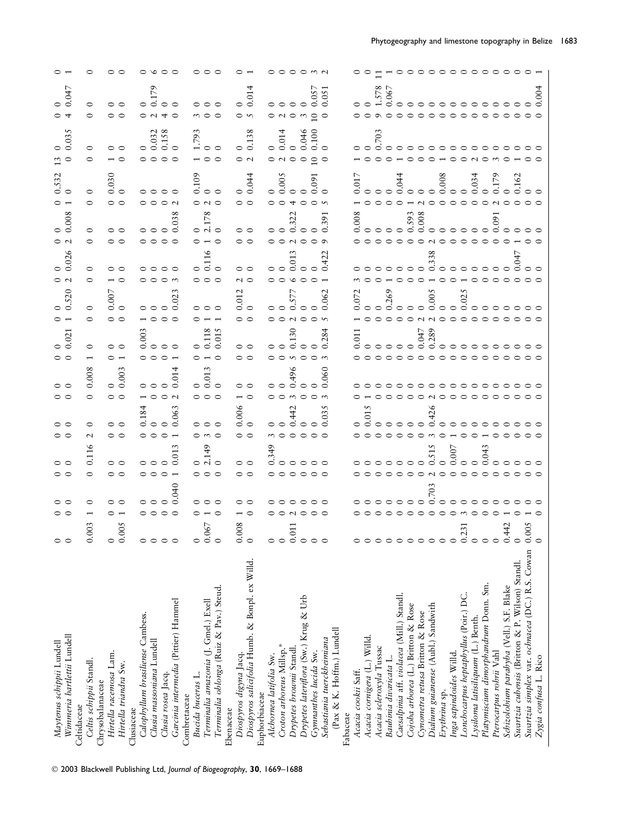| Maytenus schippii Lundell                                       |                                                         |                                               |                                       |                          |                                       |                                                   |                                       |                                                                          |                          |                                                                          |                                                                     |                                                                                                                         |                                                        |                        |                             |                                                        |                                        |                         |                        |
|-----------------------------------------------------------------|---------------------------------------------------------|-----------------------------------------------|---------------------------------------|--------------------------|---------------------------------------|---------------------------------------------------|---------------------------------------|--------------------------------------------------------------------------|--------------------------|--------------------------------------------------------------------------|---------------------------------------------------------------------|-------------------------------------------------------------------------------------------------------------------------|--------------------------------------------------------|------------------------|-----------------------------|--------------------------------------------------------|----------------------------------------|-------------------------|------------------------|
| Wimmeria bartlettii Lundell                                     | $\circ$ $\circ$                                         | $\circ$                                       | $\circ$                               | $\circ$                  | $\circ$ $\circ$                       | $\circ$ $\circ$<br>$\circ$                        | $\circ$ $\circ$                       | $\circ$ $\circ$                                                          | $\circ$                  | $\circ$ $\circ$                                                          | $\circ$<br>$\circ$ $\overline{ }$                                   | $\circ$<br>$\circ$ $\sim$                                                                                               | $\circ$<br>$\circ$ $\sim$                              | $\circ$ $\overline{ }$ | $\circ$ $\circ$             | $\circ$<br>$\omega$ $\phi$                             | $\circ$ $\circ$<br>$\circ$ 4           |                         | $\circ$ $\overline{ }$ |
| Celtidaceae                                                     |                                                         |                                               |                                       |                          |                                       |                                                   |                                       |                                                                          |                          |                                                                          |                                                                     |                                                                                                                         |                                                        |                        |                             |                                                        |                                        |                         |                        |
| Celtis schippii Standl.                                         |                                                         |                                               | $\circ$                               | $\circ$                  | $\circ$                               | $\circ$<br>$\sim$                                 | $\circ$                               | $\circ$                                                                  | $\overline{\phantom{0}}$ | $\circ$                                                                  | $\circ$<br>$\circ$                                                  | $\circ$<br>$\circ$                                                                                                      | $\circ$<br>$\circ$                                     | $\circ$                | $\circ$                     | $\circ$<br>$\circ$                                     | $\circ$                                | $\circ$                 | $\circ$                |
| Chrysobalanaceae                                                |                                                         |                                               |                                       |                          |                                       |                                                   |                                       |                                                                          |                          |                                                                          |                                                                     |                                                                                                                         |                                                        |                        |                             |                                                        |                                        |                         |                        |
| Hirtella racemosa Lam.                                          |                                                         |                                               |                                       |                          |                                       |                                                   |                                       |                                                                          |                          |                                                                          |                                                                     |                                                                                                                         |                                                        |                        |                             |                                                        |                                        |                         |                        |
| Hirtella triandra Sw.                                           | $\circ$ $\circ$                                         | $\circ$ $\overline{z}$                        | $\circ$ $\circ$                       | $\circ$ $\circ$          | $\circ$ $\circ$                       | $\circ$ $\circ$<br>$\circ$ $\circ$                | $\circ$ $\circ$                       | $\circ$ $\circ$                                                          | $\circ$ $\overline{ }$   | $\circ$ $\circ$                                                          | $\circ$ $\circ$<br>$\circ$ $\circ$                                  | $\circ$ $\circ$<br>$\overline{a}$                                                                                       | $\circ$<br>$\circ$                                     | $\circ$ $\circ$        | $\circ$ $\circ$             | $\circ$ $\circ$<br>$\overline{a}$                      | $\circ$ $\circ$                        | $\circ$ $\circ$         | $\circ$ $\circ$        |
| Clusiaceae                                                      |                                                         |                                               |                                       |                          |                                       |                                                   |                                       |                                                                          |                          |                                                                          |                                                                     |                                                                                                                         |                                                        |                        |                             |                                                        |                                        |                         |                        |
| Calophyllum brasiliense Cambess.                                |                                                         |                                               |                                       |                          |                                       |                                                   |                                       |                                                                          |                          |                                                                          |                                                                     |                                                                                                                         |                                                        |                        |                             |                                                        |                                        |                         |                        |
| Clusia massoniana Lundell                                       |                                                         |                                               |                                       |                          |                                       |                                                   |                                       |                                                                          |                          |                                                                          |                                                                     |                                                                                                                         |                                                        |                        |                             |                                                        |                                        |                         |                        |
| Clusia rosea Jacq.                                              |                                                         |                                               |                                       |                          |                                       |                                                   |                                       |                                                                          |                          |                                                                          |                                                                     |                                                                                                                         |                                                        |                        |                             |                                                        |                                        |                         |                        |
| Garcinia intermedia (Pittier) Hammel                            | $\circ \circ \circ \circ$                               | $\circ \circ \circ \circ$                     | $\circ \circ \circ \circ$             | $\circ \circ \circ \neg$ | - ೦೦೦೦                                | ಂ೦೦೦<br>000t                                      |                                       | $\circ \circ \circ \circ$                                                | 0001                     | $\circ \circ \circ \circ$                                                | ಂ೦೦೦<br>$\overline{a}$ $\overline{a}$ $\overline{b}$ $\overline{c}$ | $\circ \circ \circ \circ$<br>000m                                                                                       | $\circ \circ \circ \circ$<br>$\circ \circ \circ \circ$ | 000N                   | $\circ \circ \circ \circ$   | $\circ \circ \circ \circ$<br>$\circ \circ \circ \circ$ | O M 4 O                                | $\circ$ $\circ$ $\circ$ |                        |
| Combretaceae                                                    |                                                         |                                               |                                       |                          |                                       |                                                   |                                       |                                                                          |                          |                                                                          |                                                                     |                                                                                                                         |                                                        |                        |                             |                                                        |                                        |                         |                        |
| Bucida buceras L.                                               |                                                         |                                               |                                       |                          |                                       |                                                   |                                       |                                                                          |                          |                                                                          |                                                                     |                                                                                                                         |                                                        |                        |                             |                                                        |                                        |                         |                        |
| Terminalia amazonia (J. Gmel.) Exell                            |                                                         |                                               |                                       |                          |                                       |                                                   |                                       |                                                                          |                          |                                                                          |                                                                     |                                                                                                                         |                                                        | $\infty$               |                             |                                                        |                                        |                         |                        |
| Terminalia oblonga (Ruiz & Pav.) Steud.                         | ಂ೦೦                                                     | $\circ \circ \circ$<br>$\circ$ $\sim$ $\circ$ |                                       |                          | $\circ$ $\circ$                       | $\circ \circ \circ$<br>$\circ$ $\circ$            | $\circ \circ \circ$                   | $\circ \circ \circ$                                                      | $O - O$                  | $\circ \circ \circ$                                                      | $\circ \circ \circ$<br>$O$ $ -$                                     | $\circ \circ \circ$<br>$\circ \circ \circ$                                                                              | $O$ $N$ $O$<br>$O - O$                                 | O N O                  | $\circ$ $\circ$ $\circ$     | $\overline{\phantom{0}}$ 0<br>$\lnot$ $\lnot$ $\lnot$  | $\circ \circ \circ$<br>$m \circ \circ$ |                         |                        |
| Ebenaceae                                                       |                                                         |                                               |                                       |                          |                                       |                                                   |                                       |                                                                          |                          |                                                                          |                                                                     |                                                                                                                         |                                                        |                        |                             |                                                        |                                        |                         |                        |
| Diospyros digyna Jacq.                                          | $\circ$ $\circ$                                         | $\overline{a}$                                | $\circ$ $\circ$                       | ooo oo oooooo            | $\circ\circ\circ\circ\circ\circ\circ$ | $\circ$ $\circ$<br>$\circ$ $\circ$                | $\overline{a}$                        | $\circ$ $\circ$                                                          | $\circ$ $\circ$          | $\circ$                                                                  | $\circ$ $\circ$<br>$\circ$ $\circ$                                  | $\circ$ $\circ$<br>$\sim$                                                                                               | $\circ$ $\circ$<br>$\circ$ $\circ$                     | $\circ$ $\circ$        | $\circ$ $\circ$             | $\circ$ $\circ$<br>$\circ$ $\sim$                      | $\circ$ $\circ$<br>$\circ$ 5           |                         | OWOO OOO OH OOOOMN     |
| Diospyros salicifolia Humb. & Bonpl. ex Willd.<br>Euphorbiaceae |                                                         |                                               |                                       |                          |                                       |                                                   |                                       |                                                                          |                          |                                                                          |                                                                     |                                                                                                                         |                                                        |                        |                             |                                                        |                                        |                         |                        |
| Alchornea latifolia Sw.                                         |                                                         |                                               |                                       |                          |                                       |                                                   |                                       |                                                                          |                          |                                                                          |                                                                     |                                                                                                                         |                                                        |                        |                             |                                                        |                                        |                         |                        |
| Croton arboreus Millsp.*                                        |                                                         |                                               |                                       |                          |                                       |                                                   |                                       |                                                                          |                          |                                                                          |                                                                     |                                                                                                                         |                                                        |                        |                             |                                                        |                                        |                         |                        |
|                                                                 |                                                         |                                               |                                       |                          |                                       |                                                   |                                       |                                                                          |                          |                                                                          |                                                                     |                                                                                                                         |                                                        |                        |                             |                                                        |                                        |                         |                        |
| Drypetes brownii Standl.                                        |                                                         |                                               |                                       |                          |                                       |                                                   |                                       |                                                                          |                          |                                                                          |                                                                     |                                                                                                                         |                                                        |                        |                             |                                                        |                                        |                         |                        |
| Drypetes lateriflora (Sw.) Krug & Urb                           |                                                         |                                               |                                       |                          |                                       |                                                   |                                       |                                                                          |                          |                                                                          |                                                                     |                                                                                                                         |                                                        |                        |                             |                                                        |                                        |                         |                        |
| Gymnanthes lucida Sw.                                           |                                                         |                                               |                                       |                          |                                       |                                                   |                                       |                                                                          |                          |                                                                          |                                                                     |                                                                                                                         |                                                        |                        |                             |                                                        |                                        |                         |                        |
| Sebastiania tuerckheimiana                                      | $\circ \circ \circ \circ \circ \circ$                   | $\circ \circ \circ \circ \circ \circ$         | $\circ \circ \circ \circ \circ \circ$ |                          |                                       | $\circ \circ \circ \circ \circ \circ$<br>mooooo - | 000000                                | $\begin{array}{c} \circ \circ \circ \circ \circ \circ \circ \end{array}$ | oonoom                   | $\begin{array}{c} \circ \circ \circ \circ \circ \circ \circ \end{array}$ | $\circ \circ \circ \circ \circ \circ$<br>oonoon                     | $\begin{array}{c} \circ \circ \circ \circ \circ \circ \circ \end{array}$<br>$\circ \circ \circ \circ \circ \circ \cdot$ | 000000<br>$\circ \circ \circ \circ \circ \circ$        | 0.0400 <sub>N</sub>    | $\circ\circ\circ\circ\circ$ | $\circ \circ \circ \circ \circ \circ$<br><b>ONOOOO</b> | onomoo                                 | 000000                  |                        |
| (Pax & K. Hoffm.) Lundell                                       |                                                         |                                               |                                       |                          |                                       |                                                   |                                       |                                                                          |                          |                                                                          |                                                                     |                                                                                                                         |                                                        |                        |                             |                                                        |                                        |                         |                        |
| Fabaceae                                                        |                                                         |                                               |                                       |                          |                                       |                                                   |                                       |                                                                          |                          |                                                                          |                                                                     |                                                                                                                         |                                                        |                        |                             |                                                        |                                        |                         |                        |
| Acacia cookii Saff.                                             |                                                         |                                               |                                       |                          |                                       |                                                   |                                       |                                                                          |                          |                                                                          |                                                                     |                                                                                                                         |                                                        |                        |                             |                                                        |                                        |                         |                        |
| Acacia cornigera (L.) Willd.                                    |                                                         |                                               |                                       |                          |                                       |                                                   |                                       |                                                                          |                          |                                                                          |                                                                     |                                                                                                                         |                                                        |                        |                             |                                                        |                                        |                         |                        |
| Acacia scleroxyla Tussac                                        | $\circ \circ \circ \circ \circ \circ \circ \circ \circ$ | o o o o o o o o o o mo o o u o u o            |                                       |                          |                                       |                                                   | 0 H 0 0 0 0 0 N 0 0 0 0 0 0 0 0 0 0 0 |                                                                          | 00000000000000000        |                                                                          |                                                                     |                                                                                                                         |                                                        |                        | <u>oooooooooooooooo</u>     |                                                        | <u>ooddoooooooooooo</u>                |                         |                        |
| Bauhinia divaricata L.                                          |                                                         |                                               |                                       |                          |                                       |                                                   |                                       |                                                                          |                          |                                                                          |                                                                     |                                                                                                                         |                                                        |                        |                             |                                                        |                                        |                         |                        |
| Caesalpinia aff. violacea (Mill.) Standl.                       |                                                         |                                               |                                       |                          |                                       |                                                   |                                       |                                                                          |                          |                                                                          |                                                                     |                                                                                                                         |                                                        |                        |                             |                                                        |                                        |                         |                        |
| Cojoba arborea (L.) Britton & Rose                              |                                                         |                                               |                                       |                          |                                       |                                                   |                                       |                                                                          |                          |                                                                          |                                                                     |                                                                                                                         |                                                        |                        |                             |                                                        |                                        |                         |                        |
| Cynometra retusa Britton & Rose                                 |                                                         |                                               |                                       |                          |                                       |                                                   |                                       |                                                                          |                          |                                                                          |                                                                     |                                                                                                                         |                                                        |                        |                             |                                                        |                                        |                         |                        |
| Dialium guianense (Aubl.) Sandwith                              |                                                         |                                               |                                       |                          |                                       |                                                   |                                       |                                                                          |                          |                                                                          |                                                                     |                                                                                                                         |                                                        |                        |                             |                                                        |                                        |                         |                        |
| Erythrina sp.                                                   |                                                         |                                               |                                       |                          |                                       |                                                   |                                       |                                                                          |                          |                                                                          |                                                                     |                                                                                                                         |                                                        |                        |                             |                                                        |                                        |                         |                        |
| Inga sapindoides Willd.                                         |                                                         |                                               |                                       |                          |                                       |                                                   |                                       |                                                                          |                          |                                                                          |                                                                     |                                                                                                                         |                                                        |                        |                             |                                                        |                                        |                         |                        |
| Lonchocarpus heptaphyllus (Poir.) DC.                           |                                                         |                                               |                                       |                          |                                       |                                                   |                                       |                                                                          |                          |                                                                          |                                                                     |                                                                                                                         |                                                        |                        |                             |                                                        |                                        |                         |                        |
| Lysiloma latisiliquum (L.) Benth.                               |                                                         |                                               |                                       |                          |                                       |                                                   |                                       |                                                                          |                          |                                                                          |                                                                     |                                                                                                                         |                                                        |                        |                             |                                                        |                                        |                         |                        |
| Platymiscium dimorphandrum Donn. Sm.                            |                                                         |                                               |                                       |                          |                                       |                                                   |                                       |                                                                          |                          |                                                                          |                                                                     |                                                                                                                         |                                                        |                        |                             |                                                        |                                        |                         |                        |
| Pterocarpus rohrii Vahl                                         |                                                         |                                               |                                       |                          |                                       |                                                   |                                       |                                                                          |                          |                                                                          |                                                                     |                                                                                                                         |                                                        |                        |                             |                                                        |                                        |                         |                        |
| Schizolobium parahyba (Vell.) S.F. Blake                        |                                                         |                                               |                                       |                          |                                       |                                                   |                                       |                                                                          |                          |                                                                          |                                                                     |                                                                                                                         |                                                        |                        |                             |                                                        |                                        |                         |                        |
| Swartzia cubensis (Britton & P. Wilson) Standl.                 |                                                         |                                               |                                       |                          |                                       |                                                   |                                       |                                                                          |                          |                                                                          |                                                                     |                                                                                                                         |                                                        |                        |                             |                                                        |                                        |                         |                        |
| Swartzia simplex var. ochnacea (DC.) R.S. Cowan                 |                                                         |                                               |                                       |                          |                                       |                                                   |                                       |                                                                          |                          |                                                                          |                                                                     |                                                                                                                         |                                                        |                        |                             |                                                        |                                        |                         |                        |
| Zygia confusa L. Rico                                           |                                                         |                                               |                                       | 000000000000000000       | 000000000000000000                    | 000000000000000000<br>0000000m0H00H00000          |                                       |                                                                          |                          |                                                                          | HOOOOONNOOOOOOOO                                                    | moo Hooo Hoo Hooooooo                                                                                                   | 00000000000000000                                      | HOOOOHNOOOOOONOOOO     |                             | HOOOHOOOHOONOMOHOO                                     | 000000000000000000                     |                         |                        |

Phytogeography and limestone topography in Belize 1683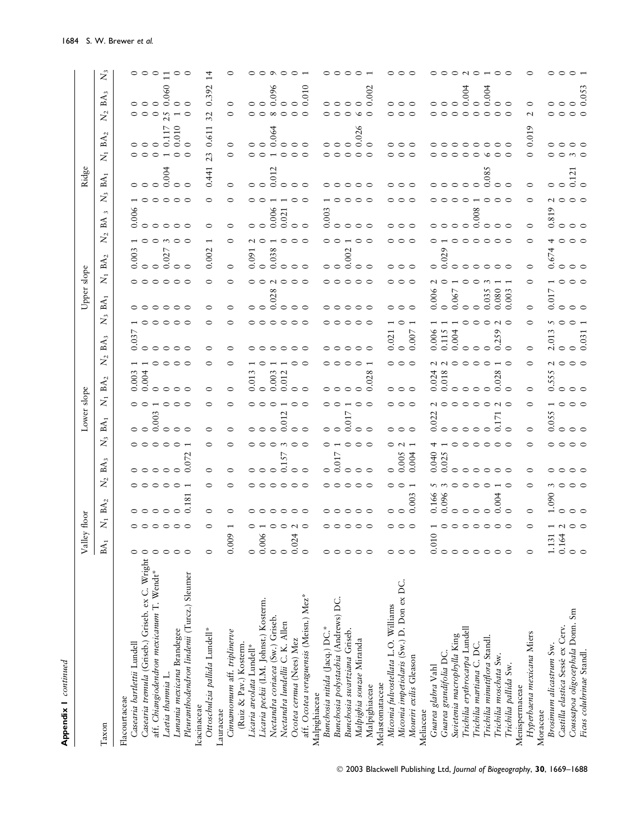| í      |  |
|--------|--|
| ۰      |  |
| í<br>a |  |

|                                                   | Valley          | $\overline{\mathbf{f}}$               |                             |                                        |                           |                                                                                                     | Lower | slope                                        |                                                               |                     |                                                               | Upper                                   | slope                           |                                                         |                           |                                 | Ridge               |                                                   |                                      |                                         |  |
|---------------------------------------------------|-----------------|---------------------------------------|-----------------------------|----------------------------------------|---------------------------|-----------------------------------------------------------------------------------------------------|-------|----------------------------------------------|---------------------------------------------------------------|---------------------|---------------------------------------------------------------|-----------------------------------------|---------------------------------|---------------------------------------------------------|---------------------------|---------------------------------|---------------------|---------------------------------------------------|--------------------------------------|-----------------------------------------|--|
| Taxon                                             | BA              | Ż                                     | ≏                           | z                                      | BA                        | Ž,                                                                                                  | BA    | ≏<br>Ż                                       | z                                                             | BA                  | z                                                             | Ż<br>BA                                 | ≏                               | z                                                       | Å                         | z                               | Å                   | ⋍<br>ż                                            | ΒÁ<br>$N_2$                          | $\Sigma$                                |  |
| Casearia bartlettii Lundell<br>Flacourtaceae      | $\circ$         |                                       |                             |                                        | $\circ$                   |                                                                                                     |       | ⌒                                            |                                                               |                     |                                                               |                                         |                                 |                                                         |                           |                                 |                     |                                                   |                                      |                                         |  |
| Casearia tremula (Griseb.) Griseb. ex C. Wright 0 |                 |                                       |                             |                                        |                           |                                                                                                     |       | $\circ$ $\circ$                              |                                                               |                     |                                                               |                                         |                                 |                                                         |                           |                                 |                     |                                                   |                                      |                                         |  |
| aff. Chiangiodendron mexicanum T. Wendt*          | $\circ$         |                                       |                             | $\circ \circ \circ \circ \circ \dashv$ | $\circ \circ \circ \circ$ | $\circ \circ \circ$<br>$\circ \circ \circ \circ \circ \dashv$                                       |       | $\circ \circ \circ \circ \circ$              |                                                               | 00000               | $\circ$<br>00000                                              | 。。。。。。                                  | $\circ \circ \circ \circ \circ$ | $\circ\circ\circ\circ\circ$                             | 00000                     | $\circ \circ \circ \circ \circ$ | ooooo               | $\circ\circ\circ\circ\circ\circ$                  | 000000<br>$\circ \circ \circ \circ$  | 000-                                    |  |
| Laetia thamnia L.                                 | $\circ$         |                                       |                             |                                        |                           |                                                                                                     |       |                                              |                                                               |                     |                                                               |                                         |                                 |                                                         |                           |                                 |                     |                                                   |                                      |                                         |  |
| Lunania mexicana Brandegee                        | $\circ$         |                                       | $\circ \circ \circ$         |                                        |                           | $\circ \circ \circ$                                                                                 |       | $\circ$ $\circ$ $\circ$                      | $\circ \circ \circ \circ$                                     |                     | $\circ \circ \circ$                                           |                                         |                                 |                                                         |                           |                                 |                     | $\circ$<br>$\circ \circ \circ$                    |                                      | $\circ$ $\circ$                         |  |
| Pleuranthodendron lindenii (Turcz.) Sleumer       | $\circ$         |                                       |                             |                                        |                           |                                                                                                     |       |                                              |                                                               |                     |                                                               |                                         |                                 |                                                         |                           |                                 |                     |                                                   | $\overline{ }$ $\overline{ }$        |                                         |  |
| Ottoschulzia pallida Lundell*<br>lcacinaceae      | $\circ$         | ⊂                                     | 0                           | $\circ$                                | ⊂                         | $\circ$                                                                                             |       | ⊂                                            | ⊂                                                             | ⊂                   | ⊂                                                             | ⊂                                       | 0.002                           |                                                         | ⊂                         | ⊂                               |                     | $\tilde{\phantom{0}}$<br>ö<br>23                  | ö<br>32                              |                                         |  |
| Lauraceae                                         |                 |                                       |                             |                                        |                           |                                                                                                     |       |                                              |                                                               |                     |                                                               |                                         |                                 |                                                         |                           |                                 |                     |                                                   |                                      |                                         |  |
| Cinnamomum aff. triplinerve                       | 0.0             |                                       | ○                           | ○                                      | ⌒                         | ᅌ                                                                                                   |       | ○<br>○                                       | っ                                                             | ○                   | ○<br>○                                                        | ○                                       | 0                               | ○                                                       | ○                         | っ                               | ᅌ                   | $\circ$<br>ᅌ                                      | $\circ$<br>○                         | ◠                                       |  |
| (Ruiz & Pav.) Kosterm.                            |                 |                                       |                             |                                        |                           |                                                                                                     |       |                                              |                                                               |                     |                                                               |                                         |                                 |                                                         |                           |                                 |                     |                                                   |                                      |                                         |  |
| Licaria areolata Lundell*                         | $\circ$         |                                       |                             |                                        |                           |                                                                                                     |       | $\circ$                                      |                                                               |                     | ᅌ                                                             |                                         |                                 |                                                         |                           |                                 |                     |                                                   |                                      |                                         |  |
| Licaria peckii (I.M. Johnst.) Kosterm.            | 0.0             |                                       | $\circ\circ\circ\circ\circ$ | 。。。。。。                                 |                           | 000000                                                                                              |       | $\circ$<br>$\circ$ $\circ$ $\circ$ $\circ$   |                                                               | 。。。。。。              | $\circ$<br>。。。。。。                                             | $\circ\circ\circ\circ\circ$             | 。。。。。。                          | $\begin{array}{c} \mathbf{C} \\ \mathbf{C} \end{array}$ | $\circ \circ \circ$       | 00---00                         |                     | 。。。。。。<br>$\circ\circ\,\texttt{--}\,\circ\,\circ$ | 000000<br>000000                     | $\circ$ $\circ$ $\circ$ $\circ$ $\circ$ |  |
| Nectandra coriacea (Sw.) Griseb.                  | $\circ$         |                                       |                             |                                        |                           |                                                                                                     |       |                                              |                                                               |                     |                                                               |                                         |                                 |                                                         |                           |                                 |                     |                                                   |                                      |                                         |  |
| Nectandra lundellii C. K. Allen                   | $\circ$         |                                       |                             |                                        |                           | $\circ \circ \circ$                                                                                 |       | $\circ \circ \circ$                          |                                                               |                     | $\circ \circ \circ \circ$                                     |                                         |                                 |                                                         | $\circ \circ \circ$       |                                 | $\circ \circ \circ$ |                                                   |                                      |                                         |  |
| Ocotea cernua (Nees) Mez                          | 0.0             |                                       |                             |                                        | $\circ$ $\circ$           |                                                                                                     |       | $\circ$ $\circ$                              | $\overline{a}$ $\overline{a}$                                 |                     |                                                               |                                         |                                 |                                                         |                           |                                 |                     |                                                   |                                      |                                         |  |
| aff. Ocotea veraguensis (Meisn.) Mez*             | $\circ$         |                                       |                             |                                        |                           |                                                                                                     |       |                                              |                                                               |                     |                                                               |                                         |                                 |                                                         |                           |                                 |                     |                                                   |                                      |                                         |  |
| Malpighiaceae                                     |                 |                                       |                             |                                        |                           |                                                                                                     |       |                                              |                                                               |                     |                                                               |                                         |                                 |                                                         |                           |                                 |                     |                                                   |                                      |                                         |  |
| Bunchosia nitida (Jacq.) DC.*                     | $\circ$         |                                       |                             |                                        |                           |                                                                                                     |       |                                              |                                                               |                     |                                                               |                                         |                                 |                                                         |                           |                                 |                     |                                                   |                                      |                                         |  |
| Bunchosia polystachia (Andrews) DC.               | $\circ$         |                                       |                             | $\circ \circ \circ \circ \circ$        |                           | $\circ$ - $\circ$ $\circ$                                                                           |       | 00000<br>$\circ$ $\circ$                     | $\circ$ $\circ$ $\circ$ $\circ$                               | 00000               | 00000                                                         | $\circ \circ \circ \circ \circ$         | $\circ$ $\circ$                 | $\circ$ $\circ$                                         |                           | -----                           | 00000               | 00000<br>$\circ \circ \circ \circ \circ$          | 00000<br>$\circ\circ\circ\circ\circ$ | $\circ$ $\circ$ $\circ$ $\circ$         |  |
| Bunchosia swartziana Griseb.                      | $\circ$         |                                       |                             |                                        |                           |                                                                                                     |       |                                              |                                                               |                     |                                                               |                                         |                                 |                                                         |                           |                                 |                     |                                                   |                                      |                                         |  |
| Malpighia souzae Miranda                          | $\circ$         | $\circ$                               |                             |                                        | $\circ \circ \circ$       | $\circ \circ \circ$                                                                                 |       | $\overline{a}$ $\overline{a}$ $\overline{a}$ |                                                               |                     | $\circ$ $\circ$                                               |                                         | $\circ \circ \circ$             | $\overline{a}$ $\overline{a}$                           | $\circ \circ \circ \circ$ |                                 |                     |                                                   |                                      |                                         |  |
| Malpighiaceae                                     | $\circ$         |                                       |                             |                                        |                           |                                                                                                     |       |                                              |                                                               |                     |                                                               |                                         |                                 |                                                         |                           |                                 |                     |                                                   |                                      |                                         |  |
| Melastomataceae                                   |                 |                                       |                             |                                        |                           |                                                                                                     |       |                                              |                                                               |                     |                                                               |                                         |                                 |                                                         |                           |                                 |                     |                                                   |                                      |                                         |  |
| Miconia fulvostellata L.O. Williams               | 0               |                                       |                             |                                        | ᅌ                         |                                                                                                     |       |                                              |                                                               | Õ                   | ○                                                             |                                         | ⊂                               |                                                         |                           |                                 | ⊂                   |                                                   |                                      |                                         |  |
| Miconia impetiolaris (Sw.) D. Don ex DC.          | $\circ$         | 000                                   | $\circ$                     | $\circ$ $\circ$ $\circ$                | $\circ$                   | $\circ$<br>$O$ $N$ $\rightarrow$                                                                    |       | $\circ \circ \circ$<br>$\circ \circ \circ$   | $\circ \circ \circ$                                           | $\circ$             | $\circ$<br>$-$ 0 $-$                                          | $\circ \circ \circ$                     | $\circ$                         | $\circ \circ \circ$                                     | 0 0 0                     | $\circ \circ \circ$             | $\circ$             | $\circ \circ \circ$<br>$\circ \circ \circ$        | $\circ \circ \circ$<br>000           | 000                                     |  |
| Mouriri exilis Gleason                            | $\circ$         |                                       | $\circ$                     |                                        | Õ                         |                                                                                                     |       |                                              |                                                               | 0.007               |                                                               |                                         |                                 |                                                         |                           |                                 |                     |                                                   |                                      |                                         |  |
| Meliaceae                                         |                 |                                       |                             |                                        |                           |                                                                                                     |       |                                              |                                                               |                     |                                                               |                                         |                                 |                                                         |                           |                                 |                     |                                                   |                                      |                                         |  |
| Guarea glabra Vahl                                | $\breve{\circ}$ |                                       |                             | 5                                      |                           | 4                                                                                                   |       |                                              |                                                               |                     | $\circ$<br>$\overline{\phantom{0}}$                           |                                         |                                 |                                                         |                           |                                 |                     |                                                   |                                      |                                         |  |
| Guarea grandifolia DC.                            | $\circ$         |                                       | $\circ$                     |                                        |                           | 000000                                                                                              |       | $\circ \circ \circ \circ \circ$<br>aooooao   |                                                               |                     |                                                               | $\circ$ $\circ$ $\circ$                 |                                 |                                                         | 。。。。。。。。。                 | 。。。。。。。。                        | 。。。。。。。。            |                                                   |                                      |                                         |  |
| Swietenia macrophylla King                        | $\circ$         |                                       |                             |                                        |                           |                                                                                                     |       |                                              |                                                               | $\circ$             | $\circ$                                                       |                                         |                                 |                                                         |                           |                                 |                     |                                                   |                                      |                                         |  |
| Trichilia erythrocarpa Lundell                    | $\circ$         |                                       |                             |                                        |                           |                                                                                                     |       |                                              |                                                               |                     |                                                               |                                         |                                 |                                                         |                           |                                 |                     |                                                   |                                      |                                         |  |
| Trichilia martiana C. DC.                         | $\circ$         |                                       | $\circ \circ \circ \circ$   |                                        |                           |                                                                                                     |       |                                              |                                                               | $\circ \circ \circ$ |                                                               |                                         |                                 |                                                         |                           |                                 |                     |                                                   |                                      |                                         |  |
| Trichilia minutiflora Standl.                     | $\circ$         |                                       |                             |                                        |                           |                                                                                                     |       |                                              |                                                               |                     | Ö                                                             | $\sim$                                  |                                 |                                                         |                           |                                 |                     |                                                   |                                      |                                         |  |
| Trichilia moschata Sw.                            | $\circ$         | $\circ \circ \circ \circ \circ \circ$ | $\circ$                     |                                        | 000000                    |                                                                                                     |       | $\circ$                                      |                                                               |                     | 0.                                                            | 080                                     |                                 |                                                         |                           |                                 |                     |                                                   |                                      |                                         |  |
| Trichilia pallida Sw.                             | $\circ$         | $\circ$                               |                             | moooono                                |                           | $\begin{array}{cccccccccc} \pi & \circ & \circ & \circ & \circ & \circ & \circ & \circ \end{array}$ |       |                                              | $\begin{array}{c} \n 0 \\  0 \\  0 \\  0 \\  0\n \end{array}$ | $\circ$ $\circ$     | $\begin{array}{c} \n - \n - \n - \n - \n - \n \n \end{array}$ |                                         | 。。。。。。。。                        |                                                         |                           |                                 |                     | 。。。。。。。。<br>00000000                              | 。。。。。。。。<br>。。。。。。。。                 | 0000000                                 |  |
| Menispermaceae                                    |                 |                                       |                             |                                        |                           |                                                                                                     |       |                                              |                                                               |                     |                                                               |                                         |                                 |                                                         |                           |                                 |                     |                                                   |                                      |                                         |  |
| Hyperbaena mexicana Miers                         | 0               | ○                                     | ⊂                           | $\circ$                                | ⊂                         | ⊂<br>$\circ$                                                                                        |       | $\circ$<br>$\circ$                           | $\circ$                                                       | ○                   | $\circ$<br>$\circ$                                            | $\circ$                                 | $\circ$                         | $\circ$                                                 | ⊂                         | ○                               |                     | っ<br>$\circ$                                      | ○<br>$\sim$                          |                                         |  |
| Moraceae                                          |                 |                                       |                             |                                        |                           |                                                                                                     |       |                                              |                                                               |                     |                                                               |                                         |                                 |                                                         |                           |                                 |                     |                                                   |                                      |                                         |  |
| Brosimum alicastrum Sw.                           | Ξ               |                                       |                             |                                        |                           |                                                                                                     |       |                                              |                                                               | N O                 |                                                               |                                         |                                 |                                                         |                           |                                 |                     | $\circ$ $\circ$                                   | $\circ$ $\circ$                      | െ റ                                     |  |
| Castilla elastica Sessé ex Cerv.                  | $\overline{0}$  |                                       |                             |                                        |                           |                                                                                                     |       | 0000<br>$\circ \circ \circ$                  | $\circ$ $\circ$ $\circ$                                       |                     | $\circ$ $\circ$<br>500t                                       | $\overline{\phantom{a}}\circ\circ\circ$ | 0000                            |                                                         | 0000                      |                                 |                     |                                                   | 0000                                 |                                         |  |
| Coussapoa oligocephala Donn. Sm                   | $\circ$         |                                       | $\circ$ $\circ$             |                                        | $\circ$ $\circ$           |                                                                                                     |       |                                              |                                                               | $\circ$             | $\circ$ $\circ$                                               |                                         |                                 |                                                         |                           |                                 |                     |                                                   |                                      |                                         |  |
| Ficus colubrinae Standl.                          |                 | いつい                                   |                             | m 0 0 0                                |                           | $\circ\circ\circ$                                                                                   |       |                                              |                                                               |                     |                                                               |                                         |                                 | 4 0 0 0                                                 |                           | $\circ$ $\circ$ $\circ$         |                     | $\circ$<br>00000                                  |                                      |                                         |  |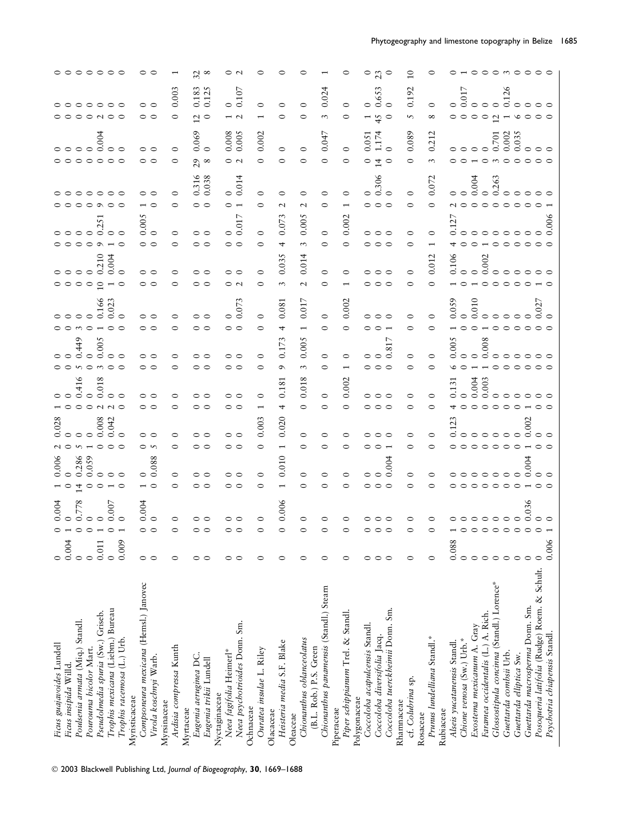| Ficus guajavoides Lundell                       | $\circ$              |                                    |                     |                 |                                |       |                                     |                                                        |                                                         |                                                       |                                             |            |                                                        |                                    |                                                                                                          |                      |                   |
|-------------------------------------------------|----------------------|------------------------------------|---------------------|-----------------|--------------------------------|-------|-------------------------------------|--------------------------------------------------------|---------------------------------------------------------|-------------------------------------------------------|---------------------------------------------|------------|--------------------------------------------------------|------------------------------------|----------------------------------------------------------------------------------------------------------|----------------------|-------------------|
| Ficus insipida Willd.                           | 0.00                 |                                    |                     |                 |                                |       |                                     |                                                        |                                                         |                                                       |                                             |            |                                                        |                                    |                                                                                                          |                      |                   |
| Poulsenia armata (Miq.) Standl.                 | $\circ$              | $^{\circ}$                         |                     |                 |                                |       |                                     |                                                        |                                                         |                                                       |                                             |            |                                                        |                                    |                                                                                                          |                      |                   |
| Pourouma bicolor Mart.                          | $\circ$              |                                    |                     | $\circ$ $\circ$ |                                |       |                                     |                                                        |                                                         |                                                       |                                             |            |                                                        |                                    |                                                                                                          |                      |                   |
| Pseudolmedia spuria (Sw.) Griseb.               | 0.01                 |                                    |                     |                 |                                |       |                                     | $\infty$                                               |                                                         |                                                       |                                             |            |                                                        |                                    |                                                                                                          |                      |                   |
| Trophis mexicana (Liebm.) Bureau                | $\circ$              | 000000<br>$\circ$                  | H 0 4 0 0 H 0       | 6066000         | 6000660<br>000000              |       | 。。。。。。。<br>- 0 0 0 0 0 0            | 0000000<br>$\circ \circ \circ \circ \circ \circ \circ$ | 。。。。。。。<br>0000000                                      | 。。。。。。<br>$\circ \circ \circ \circ \circ \circ \circ$ | $\circ \circ \circ \circ \circ \circ \circ$ | 。。。。。。。    | 。。。。。。。<br>$\circ \circ \circ \circ \circ \circ \circ$ | 。。。。。。。<br>0000000                 | $\circ \circ \circ \circ \circ \circ \circ$                                                              | 。。。。。。。              | 。。。。。。。           |
| Trophis racemosa (L.) Urb.<br>Myristicaceae     | $\sigma$<br>0.00     |                                    |                     |                 |                                |       |                                     |                                                        |                                                         |                                                       |                                             |            |                                                        |                                    |                                                                                                          |                      |                   |
| Compsoneura mexicana (Hemsl.) Janovec           | $\circ$              |                                    |                     |                 |                                |       |                                     |                                                        |                                                         |                                                       |                                             | ⊵          |                                                        |                                    |                                                                                                          |                      |                   |
| Virola koschnyi Warb.                           | $\circ$              | $\circ$ $\circ$<br>$\circ$ $\circ$ | $\overline{C}$      |                 | $\circ$ $\circ$<br>$\sim$ 5    |       | $\circ$ $\circ$<br>$\circ$ $\circ$  | $\circ\circ$<br>$\circ$ $\circ$                        | $\circ$ $\circ$<br>$\circ$                              | $\circ\circ$<br>$\circ$                               | $\circ$                                     |            | $\circ$ $\circ$<br>$\overline{\phantom{0}}$            | $\circ$ $\circ$<br>$\circ$ $\circ$ | $\circ$ $\circ$                                                                                          | 00                   | $\circ$ $\circ$   |
| Myrsinaceae                                     |                      |                                    |                     |                 |                                |       |                                     |                                                        |                                                         |                                                       |                                             |            |                                                        |                                    |                                                                                                          |                      |                   |
| Ardisia compressa Kunth<br>Myrtaceae            | 0                    | $\circ$<br>$\circ$                 | $\circ$             | $\circ$         | ᅌ<br>$\circ$                   |       | ᅌ<br>$\circ$                        | ᅌ<br>$\circ$                                           | ᅌ<br>$\circ$                                            | ᅌ<br>$\circ$                                          | $\circ$                                     | $\circ$    | ᅌ<br>$\circ$                                           | $\circ$<br>$\circ$                 | $\circ$                                                                                                  | 0.003                |                   |
|                                                 |                      |                                    |                     |                 |                                |       |                                     |                                                        |                                                         |                                                       |                                             |            |                                                        |                                    |                                                                                                          |                      |                   |
| Eugenia aeruginea DC.<br>Eugenia trikii Lundell | 0<br>$\circ$         | 00<br>$\circ$ $\circ$              | $\circ$ $\circ$     | 00              | $\circ$ $\circ$<br>$\circ$     |       | ၀ ၀<br>$\circ$ $\circ$              | $\circ\circ$<br>$\circ$ $\circ$                        | 00<br>$\circ$ $\circ$                                   | 00<br>$\circ$                                         | $\circ$                                     | ေ ေ        | 0.316<br>0.038<br>$\circ$ $\circ$                      | 00<br>$2^{\circ}$                  | $\overline{q}$ o                                                                                         | 0.183<br>0.125       | $2^{\circ}$       |
| Nyctaginaceae                                   |                      |                                    |                     |                 |                                |       |                                     |                                                        |                                                         |                                                       |                                             |            |                                                        |                                    |                                                                                                          |                      |                   |
| Neea fagifolia Heimerl*                         | 0                    |                                    |                     |                 |                                |       |                                     |                                                        |                                                         |                                                       |                                             |            |                                                        |                                    |                                                                                                          |                      |                   |
| Neea psychotrioides Donn. Sm.                   | $\circ$              | $\circ$ $\circ$<br>$\circ$ $\circ$ | $\circ$             | $\circ$ $\circ$ | $\circ$ $\circ$<br>$\circ$     |       | $\circ$ $\circ$<br>$\circ$ $\circ$  | $\circ$ $\circ$<br>$\circ$ $\circ$                     | $\circ$ $\circ$                                         | ေ ေ<br>$\circ$ $\sim$                                 | $\circ$                                     | $\circ$    | 014<br>$\circ$ $\circ$<br>$\circ$ $\overline{ }$       | $0.008$<br>0.005<br>$\circ$ $\sim$ | $\overline{z}$                                                                                           | ်<br>$\circ$ $\circ$ | $\circ$ $\sim$    |
| Ochnaceae                                       |                      |                                    |                     |                 |                                |       |                                     |                                                        |                                                         |                                                       |                                             |            |                                                        |                                    |                                                                                                          |                      |                   |
| Ouratea insulae L. Riley<br>Olacaceae           | 0                    | $\circ$<br>$\circ$                 | $\circ$             | $\circ$         | $\circ$                        | 0.00  | $\circ$<br>$\overline{\phantom{0}}$ | $\circ$<br>$\circ$                                     | $\circ$<br>$\circ$                                      | $\circ$<br>$\circ$                                    | $\circ$                                     | $\circ$    | $\circ$<br>$\circ$                                     | 0.002<br>$\circ$                   |                                                                                                          | $\circ$              | $\circ$           |
| Heisteria media S.F. Blake                      | 0                    | 6<br>$\circ$                       |                     | ö               |                                | 0.020 | $\infty$<br>$\Xi$<br>4              | 173<br>0.1<br>$\sigma$                                 | 0.081<br>4                                              | 3                                                     | 4<br>0.035                                  | 0.07       | ○<br>$\sim$                                            | $\circ$<br>っ                       | ○                                                                                                        | ᅌ                    |                   |
| Oleaceae                                        |                      |                                    |                     |                 |                                |       |                                     |                                                        |                                                         |                                                       |                                             |            |                                                        |                                    |                                                                                                          |                      |                   |
| Chionanthus oblanceolatus                       | 0                    | $\circ$                            |                     | $\circ$         |                                |       | 0.01                                | 0.005                                                  |                                                         |                                                       |                                             |            |                                                        |                                    |                                                                                                          |                      |                   |
| (B.L. Rob.) P.S. Green                          |                      | 0                                  | $\circ$             |                 | $\circ$<br>$\circ$             |       | $\circ$                             | $\sim$<br>$^{\circ}$                                   | 0.017                                                   | $\mathcal{L}$                                         | 3<br>0.014                                  | 0.005      | $\circ$<br>N                                           | $\circ$<br>$\circ$                 | $\circ$                                                                                                  | $\circ$              |                   |
| Chionanthus panamensis (Standl.) Stearn         | ○                    | ○<br>$\circ$                       | $\circ$             | ⊂               | ⊂<br>$\circ$                   |       | $\circ$<br>$\circ$                  | $\circ$<br>$\circ$                                     | $\circ$<br>$\circ$                                      | $\circ$<br>$\circ$                                    | $\circ$                                     | $\circ$    | ○<br>$\circ$                                           | - 947<br>6.<br>$\circ$             | 3                                                                                                        | 0.024                |                   |
| Piperaceae                                      |                      |                                    |                     |                 |                                |       |                                     |                                                        |                                                         |                                                       |                                             |            |                                                        |                                    |                                                                                                          |                      |                   |
| Piper schippianum Trel. & Standl.               | ○                    | ᅌ<br>$\circ$                       | $\circ$             | $\circ$         | ᅌ<br>$\circ$                   |       | Ö<br>$\circ$                        | $\circ$                                                | 8<br>ö<br>$\circ$                                       | $\circ$                                               | $\circ$                                     | ö          | $\circ$<br>$\overline{\phantom{0}}$                    | $\circ$<br>$\circ$                 | $\circ$                                                                                                  | $\circ$              | $\circ$           |
| Polygonaceae                                    |                      |                                    |                     |                 |                                |       |                                     |                                                        |                                                         |                                                       |                                             |            |                                                        |                                    |                                                                                                          |                      |                   |
| Coccoloba acapulcensis Standl.                  | 0                    |                                    | $\circ \circ \circ$ |                 |                                |       |                                     |                                                        |                                                         | $\circ \circ \circ$                                   |                                             |            |                                                        |                                    |                                                                                                          |                      |                   |
| Coccoloba diversifolia Jacq.                    | $\circ$              | 000<br>000                         |                     | 000             | 000<br>$\circ$ $\circ$ $\circ$ |       | 000<br>$\circ \circ \circ$          | $\circ \circ \circ$<br>$\circ \circ \circ$             | $\circ \circ \circ$<br>$\circ$ $\circ$ $\sim$           | $\circ \circ \circ$                                   | $\circ \circ \circ$                         | 000        | $\circ \circ \circ$<br>$\circ \circ \circ$             | $\circ$ 4 $\circ$                  | $-50$                                                                                                    | $\circ \circ \circ$  | $\circ$ m $\circ$ |
| Coccoloba tuerckheimii Donn. Sm.                | $\circ$              |                                    |                     |                 |                                |       |                                     |                                                        |                                                         |                                                       |                                             |            |                                                        | $\circ$                            |                                                                                                          |                      |                   |
| Rhamnaceae                                      |                      |                                    |                     |                 |                                |       |                                     |                                                        |                                                         |                                                       |                                             |            |                                                        |                                    |                                                                                                          |                      |                   |
| cf. Colubrina sp.                               | 0                    | ○<br>○                             | $\circ$             | $\circ$         | $\circ$<br>$\circ$             |       | 0<br>$\circ$                        | $\circ$<br>$\circ$                                     | ○<br>0                                                  | $\circ$<br>$\circ$                                    | $\circ$                                     | ○          | $\circ$<br>$\circ$                                     | 0.089<br>$\circ$                   | 5                                                                                                        | $\overline{c}$       | $\circ$           |
| Rosaceae                                        |                      |                                    |                     |                 |                                |       |                                     |                                                        |                                                         |                                                       |                                             |            |                                                        |                                    |                                                                                                          |                      |                   |
| Prunus lundelliana Standl.*                     | 0                    | $\circ$<br>$\circ$                 | $\circ$             | $\circ$         | $\circ$<br>$\circ$             |       | $\circ$<br>$\circ$                  | $\circ$<br>$\circ$                                     | $\circ$<br>$\circ$                                      | $\ddot{\circ}$<br>$\circ$                             | $\overline{\phantom{a}}$<br>$\sim$          | $\circ$    | ö<br>$\circ$                                           | Ä<br>$\circ$<br>3                  | $^{\circ}$                                                                                               | $\circ$              | ○                 |
| Rubiaceae                                       |                      |                                    |                     |                 |                                |       |                                     |                                                        |                                                         |                                                       |                                             |            |                                                        |                                    |                                                                                                          |                      |                   |
| Alseis yucatanensis Standl.                     | ${}^{\circ}$<br>0.08 |                                    |                     |                 |                                |       |                                     |                                                        |                                                         |                                                       |                                             |            |                                                        |                                    |                                                                                                          |                      |                   |
| Chione venosa (Sw.) Urb.*                       | $\circ$              |                                    |                     |                 |                                |       |                                     |                                                        |                                                         |                                                       |                                             |            |                                                        |                                    |                                                                                                          |                      |                   |
| Exostema mexicanum A. Gray                      |                      |                                    |                     |                 |                                |       |                                     |                                                        |                                                         |                                                       |                                             |            |                                                        |                                    |                                                                                                          |                      |                   |
| Faramea occidentalis (L.) A. Rich.              |                      |                                    |                     |                 |                                |       |                                     |                                                        |                                                         |                                                       |                                             |            |                                                        |                                    |                                                                                                          |                      |                   |
| Glossostipula concinna (Standl.) Lorence*       |                      |                                    |                     |                 |                                |       |                                     |                                                        |                                                         |                                                       |                                             |            |                                                        |                                    |                                                                                                          |                      |                   |
| Guettarda combsii Urb.                          |                      |                                    |                     |                 |                                |       |                                     |                                                        |                                                         |                                                       |                                             |            |                                                        |                                    |                                                                                                          |                      |                   |
| Guettarda elliptica Sw.                         |                      | 。。。。。。。。。。。<br><u>- 00000000</u>   | 0000000000          |                 | 6000000000                     |       | 6066000000<br>4000000+00            | <u>ooooooooo</u><br><b>000000000</b>                   | 606000000<br>$\circ\circ\circ\circ\circ\circ\circ\circ$ | 0000000000<br>HOH00000HO                              | <b>400+000000</b>                           | 。。。。。。。。。。 | NOOOOOOOO                                              | 00 H O M O O O O O                 | $\begin{array}{c} \circ \circ \circ \circ \circ \rightarrow \bullet \circ \circ \circ \circ \end{array}$ |                      |                   |
| Guettarda macrosperma Donn. Sm.                 |                      |                                    |                     |                 |                                |       |                                     |                                                        |                                                         |                                                       |                                             |            |                                                        |                                    |                                                                                                          |                      |                   |
| Posoqueria latifolia (Rudge) Roem. & Schult.    |                      |                                    |                     |                 |                                |       |                                     |                                                        |                                                         |                                                       |                                             |            |                                                        |                                    |                                                                                                          |                      |                   |
| Psychotria chiapensis Standl.                   | 0.00                 |                                    |                     |                 |                                |       |                                     |                                                        |                                                         |                                                       |                                             |            |                                                        |                                    |                                                                                                          |                      |                   |
|                                                 |                      |                                    |                     |                 |                                |       |                                     |                                                        |                                                         |                                                       |                                             |            |                                                        |                                    |                                                                                                          |                      |                   |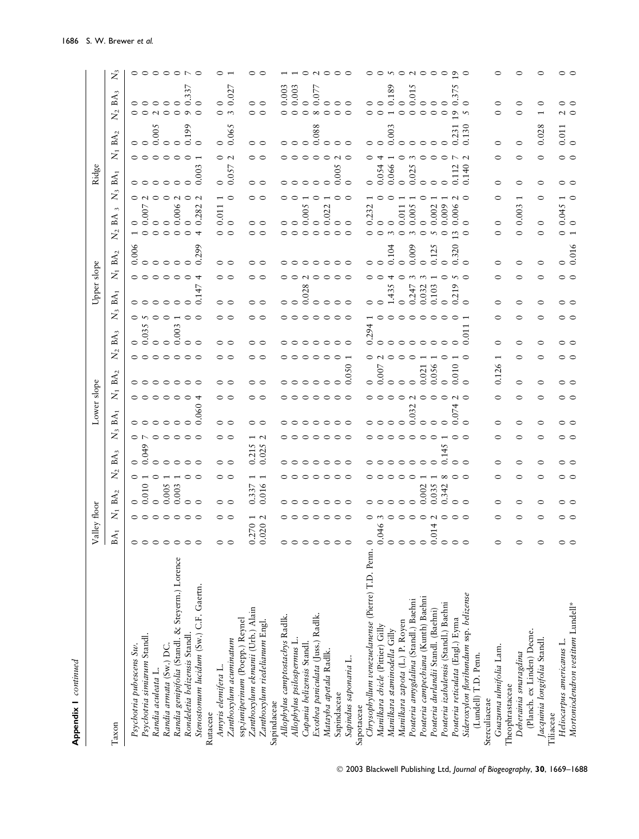| ŗ<br>Ĩ, |
|---------|

|                                                                | Valley floor                    |                           |                 |                                                                          |                           |                                            | Lower slope     |                                                                    |                                       |                           |                                 |                           | Upper slope                           |                     |                     |                    |                                                               | Ridge                                                              |                      |                                         |                                 |                     |
|----------------------------------------------------------------|---------------------------------|---------------------------|-----------------|--------------------------------------------------------------------------|---------------------------|--------------------------------------------|-----------------|--------------------------------------------------------------------|---------------------------------------|---------------------------|---------------------------------|---------------------------|---------------------------------------|---------------------|---------------------|--------------------|---------------------------------------------------------------|--------------------------------------------------------------------|----------------------|-----------------------------------------|---------------------------------|---------------------|
| Taxon                                                          | BA <sub>1</sub>                 | z                         | $\mathrm{BA}_2$ | $N_2$                                                                    | $\mathrm{BA}_3$           | z                                          | $\mathbf{BA}_1$ | Ż                                                                  | BA <sub>2</sub>                       | ВA<br>$N_2$               | $N_3$                           | BA <sub>1</sub>           | z                                     | $\mathrm{BA}_2$     | $\aleph_2$          | 3<br>ВÁ            | $N_3$                                                         | BA <sub>:</sub>                                                    | $\mathrm{BA}_2$<br>z | $N_2$                                   | BA <sub>3</sub>                 | Ž                   |
| Psychotria pubescens Sw.                                       |                                 |                           |                 |                                                                          |                           |                                            |                 |                                                                    |                                       |                           |                                 |                           |                                       |                     |                     |                    |                                                               |                                                                    |                      |                                         |                                 |                     |
| Psychotria simiarum Standl.                                    |                                 | $\circ$ $\circ$           |                 |                                                                          |                           | $\circ$ $\sim$                             |                 |                                                                    |                                       |                           |                                 |                           |                                       |                     | $\circ$             |                    |                                                               | $\circ$ $\circ$                                                    |                      |                                         |                                 |                     |
| Randia aculeata L.                                             |                                 | $\circ$                   |                 | $\circ$                                                                  |                           |                                            |                 |                                                                    |                                       |                           |                                 | $\circ$                   |                                       | $\circ$             | $\circ$             | $\circ$            |                                                               |                                                                    |                      |                                         |                                 |                     |
| Randia armata (Sw.) DC.                                        |                                 |                           |                 | $\overline{\phantom{0}}$                                                 |                           |                                            |                 |                                                                    |                                       | $\circ$                   | $\circ$ $\circ$ $\circ$         |                           |                                       |                     |                     |                    |                                                               |                                                                    |                      |                                         |                                 |                     |
| Randia genipifolia (Standl. & Steyerm.) Lorence                |                                 |                           |                 |                                                                          |                           |                                            |                 |                                                                    |                                       |                           |                                 | $\circ$                   |                                       |                     |                     | ≍                  |                                                               |                                                                    |                      |                                         |                                 |                     |
| Rondeletia belizensis Standl.                                  | $\circ$                         | $\circ \circ \circ \circ$ |                 | $\circ \circ \circ \circ \circ$<br>$\overline{a}$ $\overline{a}$         |                           | 000000<br>$\circ \circ \circ \circ \circ$  |                 | 。。。。。。。<br>000000                                                  | 。。。。。。。                               | $\circ \circ \circ$       |                                 | $\circ$                   | 0000004                               | $\circ \circ \circ$ | $\circ \circ \circ$ | $\circ$ $\circ$    | <i><b>ONOONON</b></i>                                         | 000000<br>$\circ \circ \circ \circ$                                | 000000               | oonoono                                 | 0000000                         | 00000N0             |
| Stenostomum lucidum (Sw.) C.F. Gaertn.                         | ⊂                               | ⊂                         |                 |                                                                          |                           | $\circ$                                    |                 | ₹                                                                  |                                       |                           | $\circ$                         | $\circ$                   |                                       | $\circ$             | $\overline{4}$      | 82<br>$\circ$      |                                                               | $\circ$                                                            | ⊂                    |                                         |                                 |                     |
| Rutaceae                                                       |                                 |                           |                 |                                                                          |                           |                                            |                 |                                                                    |                                       |                           |                                 |                           |                                       |                     |                     |                    |                                                               |                                                                    |                      |                                         |                                 |                     |
| Amyris elemifera L.                                            |                                 | $\circ$ $\circ$           |                 | $\circ$ $\circ$<br>$\circ$ $\circ$                                       |                           | $\circ$ $\circ$<br>$\circ$ $\circ$         |                 | $\circ$ $\circ$<br>$\circ$ $\circ$                                 | $\circ\circ$                          | ᅌ                         | $\circ\circ$                    |                           | $\circ$ $\circ$                       | ○                   |                     | $\circ$            |                                                               | ○<br>$\circ$                                                       | ⊂                    | $\circ$                                 | ⊂                               | ○                   |
| Zanthoxylum acuminatum                                         | ⊂                               |                           |                 |                                                                          |                           |                                            |                 |                                                                    |                                       | $\subset$                 |                                 | ⊂                         |                                       | ⊂                   | $\circ$             | ⊂                  | ○                                                             | $\mathbf{\sim}$<br>0                                               | ○                    |                                         | ⊂                               |                     |
| ssp.juniperinum (Poepp.) Reynel                                |                                 |                           |                 |                                                                          |                           |                                            |                 |                                                                    |                                       |                           |                                 |                           |                                       |                     |                     |                    |                                                               |                                                                    |                      |                                         |                                 |                     |
| Zanthoxylum ekmanii (Urb.) Alain                               |                                 |                           |                 |                                                                          |                           | $\circ$                                    |                 | $\circ$ $\circ$<br>$\circ$ $\circ$                                 | $\circ$ $\circ$                       | $\circ$ $\circ$           | $\circ$                         | 0                         | $\circ$ $\circ$                       | っ                   | $\circ$             | $\circ$ $\circ$    | $\circ$                                                       | $\circ$ $\circ$<br>$\circ$                                         | $\circ$              | $\circ$                                 | $\circ$                         | $\circ$ $\circ$     |
| Zanthoxylum riedelianum Engl.                                  | .020<br>0                       | $\sim$                    | 0.016           |                                                                          | $\sim$<br>$\approx$<br>Ò. | $\sim$                                     |                 |                                                                    |                                       |                           |                                 | $\circ$                   |                                       | $\circ$             |                     |                    |                                                               |                                                                    |                      |                                         |                                 |                     |
| Sapindaceae                                                    |                                 |                           |                 |                                                                          |                           |                                            |                 |                                                                    |                                       |                           |                                 |                           |                                       |                     |                     |                    |                                                               |                                                                    |                      |                                         |                                 |                     |
| Allophylus camptostachys Radlk.                                |                                 |                           |                 |                                                                          |                           |                                            |                 | ᅌ<br>ᅌ                                                             |                                       |                           |                                 |                           |                                       |                     |                     | ᅌ                  | $\circ$ $\circ$                                               | $\circ$                                                            |                      |                                         | 8<br>00                         |                     |
| Allophylus psilospernus L.                                     |                                 |                           |                 |                                                                          |                           |                                            |                 | $\circ$<br>$\circ$                                                 |                                       | $\circ$                   |                                 |                           |                                       |                     |                     | $\circ$            |                                                               | $\circ$                                                            |                      |                                         |                                 |                     |
| Cupania belizensis Standl.                                     |                                 |                           |                 |                                                                          |                           |                                            |                 |                                                                    |                                       |                           |                                 |                           |                                       |                     |                     | $\circ$ $\circ$    |                                                               |                                                                    |                      |                                         |                                 | $\circ$             |
| Exothea paniculata (Juss.) Radlk.                              | $\circ \circ \circ \circ \circ$ | 0000000                   |                 | 00000<br>。。。。。。。                                                         |                           | 。。。。。。。<br>。。。。。。。                         |                 | $\circ \circ \circ$<br>$\circ \circ \circ$                         | $\circ \circ \circ \circ \circ \circ$ | $\circ \circ \circ$       | 。。。。。。。                         | $\circ \circ \circ \circ$ | $\circ \circ \circ \circ \circ \circ$ | $\circ \circ \circ$ | 。。。。。。。             |                    | $\begin{array}{c} \n - \n - \n - \n - \n - \n \n \end{array}$ | $\circ \circ \circ \circ \circ$<br>$\circ \circ \circ \circ \circ$ | 000000               | $\circ\circ\circ\bullet\circ\circ\circ$ | $\circ \circ \circ \circ \circ$ |                     |
| Matayba apetala Radlk.                                         |                                 |                           |                 |                                                                          |                           |                                            |                 |                                                                    |                                       |                           |                                 |                           |                                       |                     |                     | $\circ$            |                                                               |                                                                    |                      |                                         |                                 |                     |
| Sapindaceae                                                    |                                 |                           |                 | $\circ$                                                                  |                           |                                            |                 | $\circ$<br>$\circ$                                                 |                                       | $\circ$                   |                                 |                           |                                       | $\circ$             |                     | $\circ$            |                                                               | $\sim$                                                             |                      |                                         |                                 | $\circ \circ \circ$ |
| Sapindus saponaria L.                                          |                                 |                           |                 | $\circ$                                                                  |                           |                                            |                 | $\circ$<br>$\circ$                                                 | $50\,$                                |                           |                                 | $\circ$                   |                                       | $\circ$             |                     | $\circ$            |                                                               | $\circ$                                                            |                      |                                         |                                 |                     |
| Sapotaceae                                                     |                                 |                           |                 |                                                                          |                           |                                            |                 |                                                                    |                                       |                           |                                 |                           |                                       |                     |                     |                    |                                                               |                                                                    |                      |                                         |                                 |                     |
| Chrysophyllum venezuelanense (Pierre) T.D. Penn.               | 00                              |                           |                 | $\circ$ $\circ$                                                          |                           | $\circ$ $\circ$                            |                 | $\circ$ $\circ$                                                    |                                       |                           |                                 | 0                         | $\circ$                               |                     | $\circ$             | 0                  |                                                               | $\circ$<br>0                                                       |                      | $\circ$ $\circ$                         | $\circ$ $\circ$                 |                     |
| Manilkara chicle (Pittier) Gilly                               |                                 |                           |                 |                                                                          |                           |                                            |                 |                                                                    |                                       |                           | $\circ$                         |                           |                                       |                     |                     | $\circ$            | $\circ$                                                       | $\overline{4}$<br>$\overline{0}$ .                                 |                      |                                         |                                 |                     |
| Manilkara staminodella Gilly                                   |                                 |                           |                 |                                                                          |                           |                                            |                 |                                                                    |                                       |                           |                                 |                           | ∽<br>3                                | $\circ$             | $\sim$ $\sim$       | $\circ$            | $\circ$                                                       | $\overline{0}$                                                     |                      |                                         | 89                              |                     |
| Manilkara zapota (L.) P. Royen                                 | $\circ \circ \circ \circ \circ$ | omoooon                   |                 | $\circ \circ \circ \circ \circ$<br>$\circ \circ \circ \circ \circ \cdot$ |                           | $\circ \circ \circ \circ \circ$<br>。。。。。。。 |                 | $\circ \circ \circ$<br>$\circ \circ \circ \circ \circ \circ \circ$ | $\circ$ $\circ$ $\circ$ $\circ$       | $\circ \circ \circ \circ$ | $\circ \circ \circ \circ \circ$ | $\circ$                   | 400                                   |                     |                     | Ξ<br>$\dot{\circ}$ |                                                               | $  -$<br>$\circ$                                                   | 。。。。。。。              |                                         | 000000                          | oononoo             |
| Pouteria amygdalina (Standl.) Baehni                           |                                 |                           |                 |                                                                          |                           |                                            |                 |                                                                    |                                       |                           |                                 | 0.247                     |                                       | ∘<br>$\dot{\circ}$  | $\sim$              | 0.005              | $\overline{\phantom{0}}$                                      | 0.0                                                                |                      |                                         |                                 |                     |
| Pouteria campechiana (Kunth) Baehni                            |                                 |                           |                 |                                                                          |                           |                                            |                 | $\dot{\circ}$                                                      |                                       | $\circ$                   |                                 | 0.032                     | $\sim$                                |                     | $\circ$             | $\circ$            | $\circ$                                                       | $\circ$ $\circ$                                                    |                      |                                         |                                 |                     |
| Pouteria durlandii Standl. (Baehni)                            |                                 |                           | 0.0             |                                                                          |                           |                                            |                 |                                                                    | ١c<br>0.05                            | $\circ$                   |                                 | 0.103                     | $\overline{\phantom{0}}$              | $\circ$             | $\sim$              | 0.002              |                                                               | $\circ$                                                            |                      |                                         |                                 |                     |
| Pouteria izabalensis (Standl.) Baehni                          | $\circ$                         | $\circ \circ \circ$       |                 | $\circ$<br>$\infty$ $\circ$                                              |                           | $\circ$                                    |                 | $\circ$<br>$\circ$                                                 | $\circ$                               | $\circ$                   | $\circ$                         | 0                         | $\circ$                               |                     | $\circ$             | ၉၅<br>6.           |                                                               | $\circ$<br>$\circ$                                                 |                      |                                         |                                 |                     |
| Pouteria reticulata (Engl.) Eyma                               |                                 |                           |                 | $\circ$                                                                  |                           | $\circ$<br>$\circ$ $\circ$                 |                 | $\sim$ $\sim$                                                      | ⊂<br>δ<br>$\dot{\circ}$               |                           |                                 | $\circ$                   | $\sim$                                |                     | $\sim$              | $\circ$            | $\sim$ $\sim$                                                 | $\dot{\circ}$                                                      |                      |                                         |                                 |                     |
| Sideroxylon floribundum ssp. belizense<br>(Lundell) T.D. Penn. |                                 |                           |                 |                                                                          |                           | $\circ$                                    |                 | $\circ$                                                            |                                       |                           |                                 |                           |                                       |                     | $\circ$             | $\circ$            |                                                               | $\frac{1}{4}$<br>ö                                                 |                      | ನ್ರ                                     |                                 |                     |
| Sterculiaceae                                                  |                                 |                           |                 |                                                                          |                           |                                            |                 |                                                                    |                                       |                           |                                 |                           |                                       |                     |                     |                    |                                                               |                                                                    |                      |                                         |                                 |                     |
| Guazuma ulmifolia Lam.                                         |                                 | 0                         |                 | ⊂<br>⊂                                                                   |                           | ⊂<br>⊂                                     |                 | $\circ$                                                            | 0.12                                  | ⊂                         | ⊂                               |                           | ○                                     |                     | $\circ$             | $\circ$            | $\circ$                                                       | 0<br>⊂                                                             | ⊂                    |                                         | っ                               | っ                   |
| Theophrastaceae                                                |                                 |                           |                 |                                                                          |                           |                                            |                 |                                                                    |                                       |                           |                                 |                           |                                       |                     |                     |                    |                                                               |                                                                    |                      |                                         |                                 |                     |
| Deherainia smaragdina                                          |                                 | 0                         |                 | ⊂<br>⊂                                                                   |                           | ⊂<br>⊂                                     |                 | $\circ$<br>○                                                       | 0                                     | ⊂                         | 0                               | ⊂                         | 0                                     | ⊂                   | $\circ$             | 0.003              |                                                               | 0<br>⊂                                                             | 0                    | 0                                       | 0                               | 0                   |
| (Planch. ex Linden) Decne.                                     |                                 |                           |                 |                                                                          |                           |                                            |                 |                                                                    |                                       |                           |                                 |                           |                                       |                     |                     |                    |                                                               |                                                                    |                      |                                         |                                 |                     |
| Jacquinia longifolia Standl.<br>Tiliaceae                      |                                 | 0                         |                 | ⊂<br>0                                                                   |                           | ○<br>⊂                                     |                 | $\circ$<br>○                                                       | $\circ$                               | 0                         | 0                               | ⊂                         | $\circ$                               | 0                   | $\circ$             | $\circ$            | 0                                                             | 0<br>⊂                                                             | 0.025                | $^{\circ}$                              | 0                               | 0                   |
| Heliocarpus americanus L.                                      |                                 | 00                        |                 | 00                                                                       |                           | ◠<br>0 C                                   |                 | െ റ<br>0 C                                                         | $\circ$ $\circ$                       | 0                         | ⊂ ⊂                             |                           | ○                                     |                     |                     |                    |                                                               | $\circ\,\circ$<br>ᅌ                                                | ö                    | $\overline{1}$                          | ⊂                               |                     |
| Mortoniodendron vestitum Lundell*                              |                                 |                           |                 |                                                                          |                           |                                            |                 |                                                                    |                                       |                           |                                 |                           |                                       | ء<br>కె             |                     |                    |                                                               | ⊂                                                                  |                      | $\circ$                                 | ⊂                               | ေ ေ                 |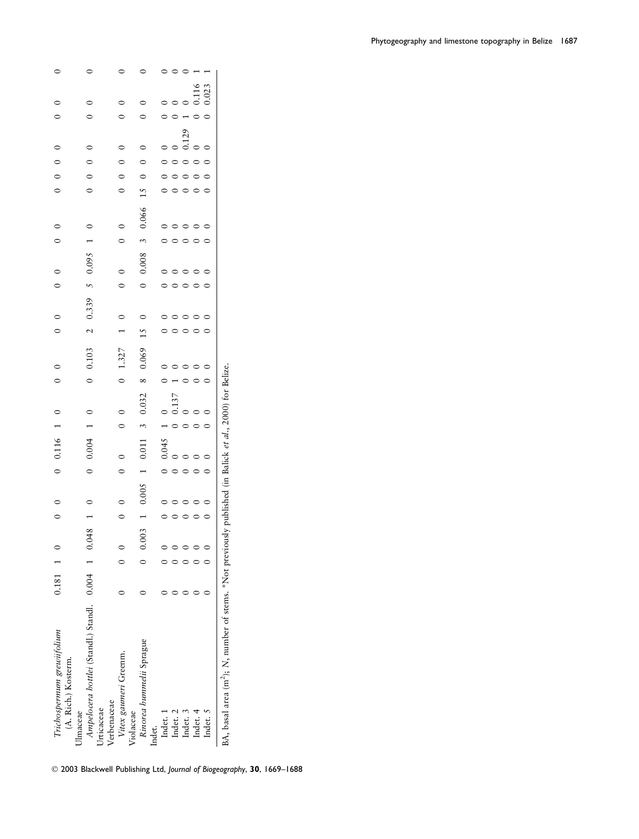| $\circ$                                           | $\circ$                                                                     | $\circ$                                           | $\circ$                                         |       |          |                 |          | $\circ \circ \circ \dashv \dashv$                                                              |          |
|---------------------------------------------------|-----------------------------------------------------------------------------|---------------------------------------------------|-------------------------------------------------|-------|----------|-----------------|----------|------------------------------------------------------------------------------------------------|----------|
| $0$ 0                                             | $\begin{matrix} 0 & 0 \end{matrix}$                                         |                                                   |                                                 |       |          | $\circ$ $\circ$ |          | $\begin{array}{c} 0.116 \\ 0.023 \end{array}$                                                  |          |
|                                                   |                                                                             | $0$ 0                                             | $0 \quad 0$                                     |       |          |                 |          | $\circ$ $\circ$ $\circ$ $\circ$                                                                |          |
| $\begin{array}{cccc} 0 & 0 & 0 & 0 \end{array}$   |                                                                             |                                                   |                                                 |       |          |                 |          | $0.129$<br>$0.129$                                                                             |          |
|                                                   | $\begin{matrix} 0 & 0 & 0 & 0 \end{matrix}$                                 | $\begin{matrix} 0 & 0 & 0 & 0 \end{matrix}$       |                                                 |       |          |                 |          | $\circ \circ \circ \circ \circ$                                                                |          |
|                                                   |                                                                             |                                                   |                                                 |       |          |                 |          | $\circ \circ \circ \circ \circ$                                                                |          |
|                                                   |                                                                             |                                                   | $15 \quad 0 \quad 0 \quad 0$                    |       |          |                 |          | $\circ \circ \circ \circ \circ$                                                                |          |
|                                                   |                                                                             | $\begin{array}{cc} 0 & 0 \end{array}$             |                                                 |       |          |                 |          | 。。。。。。<br>。。。。。。                                                                               |          |
|                                                   |                                                                             |                                                   |                                                 |       |          |                 |          |                                                                                                |          |
|                                                   |                                                                             | $0$ 0                                             | $0.008$ 3 0.066                                 |       |          |                 |          |                                                                                                |          |
|                                                   |                                                                             |                                                   |                                                 |       |          |                 |          |                                                                                                |          |
|                                                   | $0$ 0.103 2 0.339 5 0.095 1 0                                               |                                                   |                                                 |       |          |                 |          |                                                                                                |          |
|                                                   |                                                                             |                                                   | 150                                             |       |          |                 |          | 。。。。。。<br>。。。。。。                                                                               |          |
|                                                   |                                                                             |                                                   |                                                 |       |          |                 |          |                                                                                                |          |
|                                                   |                                                                             | $0 \t1.327 \t1 \t0$                               |                                                 |       |          |                 |          |                                                                                                |          |
|                                                   |                                                                             |                                                   |                                                 |       |          |                 |          |                                                                                                |          |
| $0 \t 0 \t 0.116 \t 1 \t 0 \t 0$                  |                                                                             | $0$ 0                                             | $0.003$ 1 $0.005$ 1 $0.011$ 3 $0.032$ 8 $0.069$ |       |          |                 |          | $\begin{array}{ccc}\n1 & 0 & \\ 0 & 0.137 \\ 0 & 0 & 0 \\ 0 & 0 & 0 \\ 0 & 0 & 0\n\end{array}$ |          |
|                                                   |                                                                             |                                                   |                                                 |       |          |                 |          |                                                                                                |          |
|                                                   | $0$ 0.004 1 0                                                               | $0$ 0                                             |                                                 |       |          |                 |          |                                                                                                |          |
|                                                   |                                                                             |                                                   |                                                 |       |          |                 |          |                                                                                                |          |
|                                                   |                                                                             |                                                   |                                                 |       |          |                 |          | 。。。。。。<br>。。。。。。                                                                               |          |
|                                                   |                                                                             |                                                   |                                                 |       |          |                 |          |                                                                                                |          |
| $\overline{a}$                                    | $0.048$ 1 0                                                                 | $\begin{array}{cccc}\n0 & 0 & 0 & \n\end{array}$  |                                                 |       |          |                 |          | $\circ \circ \circ \circ \circ$                                                                |          |
|                                                   |                                                                             |                                                   |                                                 |       |          |                 |          |                                                                                                |          |
|                                                   |                                                                             |                                                   |                                                 |       |          |                 |          |                                                                                                |          |
| 0.181                                             |                                                                             |                                                   |                                                 |       |          |                 |          |                                                                                                |          |
| Trichospermum grewitfolium<br>(A. Rich.) Kosterm. | Ampelocera hottlei (Standl.) Standl. 0.004<br><b>Jrticaceae</b><br>JImaceae | Vitex gaumeri Greenm.<br>Verbenaceae<br>Violaceae | Rinorea hummelii Sprague                        | ndet. | Indet. 1 | Indet. 2        | Indet. 3 | Indet. 4                                                                                       | Indet. 5 |